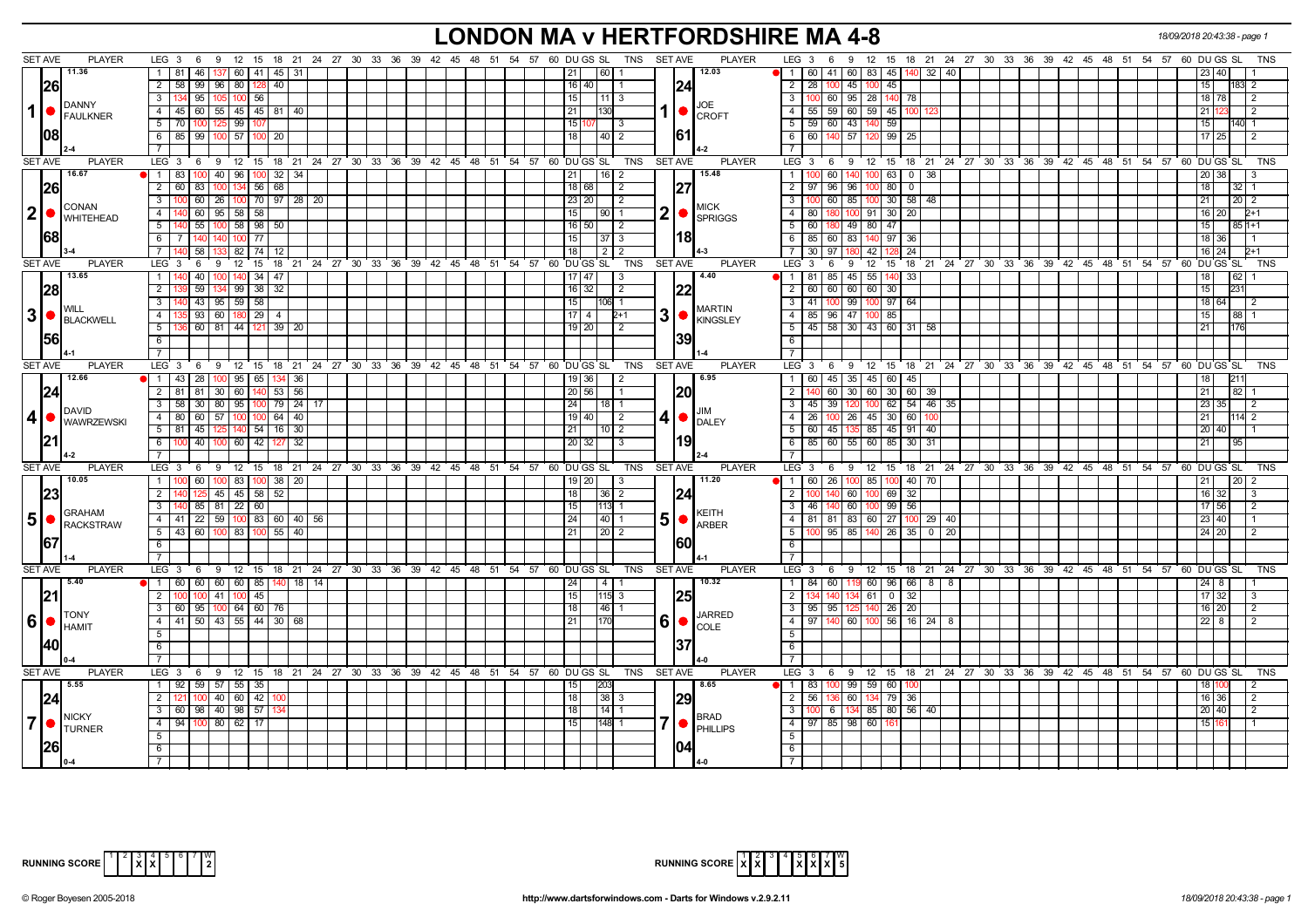# **LONDON MA v HERTFORDSHIRE MA 4-8** *18/09/2018 20:43:38 - page 1*

|                | <b>SET AVE</b><br><b>PLAYER</b> | LEG $3 \quad 6$                                                                          |                     |             | 9 12 15 18 21 24 27 30 33 36 39 42 45 48 51 54 57 60 DUGS SL |  |                                  | TNS SET AVE<br><b>PLAYER</b>                                                                                                                                                                                          | 9 12 15 18 21 24 27 30 33 36 39 42 45 48 51 54 57 60 DUGS SL<br>LEG $3 \quad 6$<br>TNS                |
|----------------|---------------------------------|------------------------------------------------------------------------------------------|---------------------|-------------|--------------------------------------------------------------|--|----------------------------------|-----------------------------------------------------------------------------------------------------------------------------------------------------------------------------------------------------------------------|-------------------------------------------------------------------------------------------------------|
|                | 11.36                           |                                                                                          |                     |             |                                                              |  |                                  |                                                                                                                                                                                                                       |                                                                                                       |
|                |                                 | 1   81<br>46<br>$160$   41                                                               | 45 31               |             |                                                              |  | 60  1<br> 21                     | 12.03                                                                                                                                                                                                                 | 60   41   60   83   45  <br>$\overline{1}$<br>140  32  <br>l 40<br>23   40                            |
|                | 26                              | 2   58   99   96   80   128                                                              | 40                  |             |                                                              |  | $16 \mid 40$                     | 24                                                                                                                                                                                                                    | $\overline{2}$<br>28   100   45   100   45<br>15 <sub>1</sub><br>183 2                                |
|                | <b>DANNY</b>                    | $\overline{3}$<br>134 95<br>105 100 56                                                   |                     |             |                                                              |  | 15<br>11 3                       | JOE                                                                                                                                                                                                                   | $\overline{3}$<br>95 28 140<br>$100$ 60<br>78<br>18 78<br>l 2                                         |
| 1              | FAULKNER                        | 4 4 5 60 55 45 45 81 40                                                                  |                     |             |                                                              |  | 21<br>1301                       | $1  \bullet  _{CROFT}$                                                                                                                                                                                                | 4 55 59 60 59 45<br>100<br>21   1<br>l 2                                                              |
|                |                                 | 5 70 100 125 99                                                                          |                     |             |                                                              |  | 15 <br>l 3                       |                                                                                                                                                                                                                       | 59 60 43 140 59<br>5<br>15 <sup>1</sup><br>140 1                                                      |
|                | 1081                            | 6 85 99<br>$100$ 57                                                                      | 100<br>20           |             |                                                              |  | 18<br>  40   2                   | <b>161</b>                                                                                                                                                                                                            | 6<br>57<br>60<br>99<br>25<br>$17$   25                                                                |
|                |                                 |                                                                                          |                     |             |                                                              |  |                                  |                                                                                                                                                                                                                       | $\overline{7}$                                                                                        |
|                | <b>SET AVE</b><br><b>PLAYER</b> | LEG 3 6 9 12 15 18 21 24 27 30 33 36 39 42 45 48 51 54 57 60 DUGS SL                     |                     |             |                                                              |  | TNS                              | <b>SET AVE</b><br><b>PLAYER</b>                                                                                                                                                                                       | 9 12 15 18 21 24 27 30 33 36 39 42 45 48 51 54 57 60 DUGS SL<br>$LEG_3$ 6<br><b>TNS</b>               |
|                | 16.67                           | 1 83<br>$40 \mid 96 \mid$                                                                | $32 \mid 34$<br>100 |             |                                                              |  | 21<br> 16 2                      | 15.48                                                                                                                                                                                                                 | $100$ 60<br>140 100 63<br>$0 \mid 38$<br>$\mathbf{1}$<br>20   38                                      |
|                | 26                              | $2 \mid 60 \mid$<br>83<br>100 134                                                        | 56 68               |             |                                                              |  | 18   68  <br>$\vert 2 \vert$     | 27                                                                                                                                                                                                                    | $97$ 96<br>96 100 80<br>$\overline{0}$<br>2<br>18<br>$32$   1                                         |
|                |                                 | 3 <sup>1</sup><br>100 60 26 100 70 97 28 20                                              |                     |             |                                                              |  | 23 20<br>l 2                     |                                                                                                                                                                                                                       | $\overline{\mathbf{3}}$<br>100 60 85 100 30 58 48<br>21<br>$20 \mid 2$                                |
|                | <b>CONAN</b>                    | 4                                                                                        |                     |             |                                                              |  |                                  | <b>MICK</b>                                                                                                                                                                                                           | $\overline{4}$                                                                                        |
| 2 <sup>1</sup> | <b>WHITEHEAD</b>                | 60<br>$95$ 58 58                                                                         |                     |             |                                                              |  | 15<br> 90 1                      | $\mathbf{2}$<br>$\bullet$ $\blacksquare$<br><b>SPRIGGS</b>                                                                                                                                                            | 100 91 30<br>20<br>$2+1$<br>80<br>16 20                                                               |
|                |                                 | 40 55<br>5 <sup>5</sup><br>$100$ 58 98 50                                                |                     |             |                                                              |  | $16$ 50<br>$\vert$ 2             |                                                                                                                                                                                                                       | 60   180   49   80   47<br>5<br>15 <sub>l</sub><br>$851+1$                                            |
|                | 1681                            | $6$ T<br>7 140<br>140 100 77                                                             |                     |             |                                                              |  | 15 <br>$37 \mid 3$               | 118I                                                                                                                                                                                                                  | 6<br>85 60 83 140 97<br>36<br>18 36                                                                   |
|                |                                 | 58<br>82   74                                                                            |                     |             |                                                              |  | l 18 l<br>212                    |                                                                                                                                                                                                                       | $\overline{7}$<br>30   97<br>42<br>24<br>16 24<br>$2 + 1$                                             |
|                | <b>PLAYER</b><br><b>SET AVE</b> | LEG <sup>3</sup><br>$12$ 15<br>6<br>9                                                    |                     |             | 18 21 24 27 30 33 36 39 42 45 48 51 54 57 60 DUGS SL         |  | TNS                              | <b>PLAYER</b><br><b>SET AVE</b>                                                                                                                                                                                       | LEG <sub>3</sub><br>9 12 15 18 21 24 27 30 33 36 39 42 45 48 51 54 57 60 DUGS SL<br><b>TNS</b><br>- 6 |
|                | 13.65                           | 1<br>140 40                                                                              | 140 34<br>47        |             |                                                              |  | $17$ 47<br>l 3                   | 4.40                                                                                                                                                                                                                  | $1 \mid 1 \mid 81 \mid 85 \mid 45 \mid 55 \mid 140$<br>33<br>18<br>62                                 |
|                | 28                              | 134 99 38<br>$\overline{2}$<br>59                                                        | 32                  |             |                                                              |  | 16<br>32<br>$\overline{2}$       |                                                                                                                                                                                                                       | 60 60 60 60 30<br>15<br>$\overline{2}$                                                                |
|                | <b>WILL</b>                     | 43 95 59 58<br>3                                                                         |                     |             |                                                              |  | 15<br>106 1                      | <b>MARTIN</b>                                                                                                                                                                                                         | $\overline{\phantom{a}3}$<br>41   100   99   100   97   64<br>18 64<br>$\overline{2}$                 |
| 3 <sup>1</sup> | <b>BLACKWELL</b>                | $35 \mid 93 \mid 60 \mid 180 \mid 29 \mid 4$<br>4 I                                      |                     |             |                                                              |  | $17 \mid 4$<br>$2+1$             | $3$ $\bullet$ $\overline{\phantom{a}}$ $\overline{\phantom{a}}$ $\overline{\phantom{a}}$ $\overline{\phantom{a}}$ $\overline{\phantom{a}}$ $\overline{\phantom{a}}$ $\overline{\phantom{a}}$ $\overline{\phantom{a}}$ | $-4$<br>85 96 47 100 85<br>15 <sub>l</sub><br>88 1                                                    |
|                |                                 | 5 <sub>1</sub><br>36 60 81 44 121                                                        | $39$   20           |             |                                                              |  | $19$ 20<br>2                     |                                                                                                                                                                                                                       | 5 <sub>1</sub><br>45   58   30   43   60   31   58<br>21                                              |
|                | 156                             | 6                                                                                        |                     |             |                                                              |  |                                  | 139                                                                                                                                                                                                                   | $6\overline{6}$                                                                                       |
|                |                                 | $7^{\circ}$                                                                              |                     |             |                                                              |  |                                  |                                                                                                                                                                                                                       | $\overline{7}$                                                                                        |
|                | <b>SET AVE</b><br><b>PLAYER</b> | LEG <sub>3</sub><br>6                                                                    |                     |             | 9 12 15 18 21 24 27 30 33 36 39 42 45 48 51 54 57 60 DUGS SL |  | TNS                              | <b>SET AVE</b><br><b>PLAYER</b>                                                                                                                                                                                       | 9 12 15 18 21 24 27 30 33 36 39 42 45 48 51 54 57 60 DUGS SL<br>$LEG_3$ 6<br><b>TNS</b>               |
|                | 12.66                           | 1 43 28 100 95 65 134 36                                                                 |                     |             |                                                              |  | 19   36  <br>l 2                 | 6.95                                                                                                                                                                                                                  | 1 60 45 35 45 60 45<br>211<br>18 <sup>1</sup>                                                         |
|                | 24                              | 2   81   81   30   60   140   53   56                                                    |                     |             |                                                              |  | 20 56<br>I 1                     | <b>20</b>                                                                                                                                                                                                             | 140 60 30 60 30 60 39<br>2 <sup>1</sup><br>21<br>$82 \mid 1$                                          |
|                |                                 | 3 58 30 80 95 100 79 24                                                                  |                     | 17          |                                                              |  | 24<br>18   1                     |                                                                                                                                                                                                                       | $\overline{\mathbf{3}}$<br>$45 \mid 39 \mid$<br>120 100 62 54 46 35<br>23 35<br>$\sqrt{2}$            |
| $\vert$        | DAVID                           | 4 80 60 57 100 100 64 40                                                                 |                     |             |                                                              |  | $19$ 40<br>$\overline{2}$        | $4  \bullet  _{\text{DALEY}}$                                                                                                                                                                                         | 4<br>26 100<br>26 45 30 60 10<br>$21 \mid$<br>114 2                                                   |
|                | <b>WAWRZEWSKI</b>               | $5$   81   45   125   140   54   16   30                                                 |                     |             |                                                              |  | 21<br>$\vert 10 \vert 2 \vert$   |                                                                                                                                                                                                                       | 5<br>60 45 135 85 45 91 40<br>20 40                                                                   |
|                |                                 | 6 100 40 100 60 42 127 32                                                                |                     |             |                                                              |  | l 20 l<br>32<br>l 3              | 19                                                                                                                                                                                                                    | 85 60 55 60 85 30 31<br>6<br>211                                                                      |
|                |                                 |                                                                                          |                     |             |                                                              |  |                                  |                                                                                                                                                                                                                       | $\overline{7}$                                                                                        |
|                | <b>SET AVE</b><br><b>PLAYER</b> | LEG <sub>3</sub><br>6 9 12 15 18 21 24 27 30 33 36 39 42 45 48 51 54 57 60 DUGS SL       |                     |             |                                                              |  | TNS                              | <b>SET AVE</b><br><b>PLAYER</b>                                                                                                                                                                                       | LEG 3 6 9 12 15 18 21 24 27 30 33 36 39 42 45 48 51 54 57 60 DUGS SL<br><b>TNS</b>                    |
|                | 10.05                           | 60<br>1 <sup>1</sup>                                                                     | 100 83 100 38 20    |             |                                                              |  | 19 20<br>-3                      | 11.20                                                                                                                                                                                                                 | 60   26  <br>100 85 100 40 70<br>11<br>21.                                                            |
|                |                                 | 2 <sup>1</sup><br>45 45 58                                                               | 52                  |             |                                                              |  | 18<br> 36 2                      |                                                                                                                                                                                                                       | 32<br>$\overline{2}$<br>60<br>100 69<br>16 32                                                         |
|                |                                 | 85   81   22   60<br>3<br>40                                                             |                     |             |                                                              |  | 15<br>113 1                      | 24                                                                                                                                                                                                                    | $\overline{\mathbf{3}}$<br>46<br>60 100 99<br>56<br>17 56<br>$\sqrt{2}$                               |
| 5 <sup>1</sup> | <b>GRAHAM</b>                   | 4 41 22 59 100 83 60 40 56                                                               |                     |             |                                                              |  | 24<br> 40  1                     | KEITH                                                                                                                                                                                                                 | $-4$<br>81   81   83   60   27   100   29   40<br>23 40                                               |
|                | RACKSTRAW                       | $5 \mid 43 \mid 60 \mid 100 \mid 83 \mid 100 \mid 55 \mid 40$                            |                     |             |                                                              |  |                                  | $50$ $\epsilon$ $\epsilon$                                                                                                                                                                                            | 5<br>100 95 85 140 26 35 0 20                                                                         |
|                |                                 |                                                                                          |                     |             |                                                              |  | 21<br>$\sqrt{20}$ 2              | <b>160</b>                                                                                                                                                                                                            | 24   20                                                                                               |
|                | 167                             | 6                                                                                        |                     |             |                                                              |  |                                  |                                                                                                                                                                                                                       | 6                                                                                                     |
|                |                                 | $7^{\circ}$                                                                              |                     |             |                                                              |  |                                  |                                                                                                                                                                                                                       | $\overline{7}$                                                                                        |
|                | <b>PLAYER</b><br><b>SET AVE</b> | LEG 3  6  9  12  15  18  21  24  27  30  33  36  39  42  45  48  51  54  57  60  DUGS SL |                     |             |                                                              |  | <b>TNS</b>                       | <b>PLAYER</b><br><b>SET AVE</b>                                                                                                                                                                                       | $LEG \cdot 3 \cdot 6$<br>9 12 15 18 21 24 27 30 33 36 39 42 45 48 51 54 57 60 DUGSSL<br><b>TNS</b>    |
|                | 5.40                            | 1 60 60 60 60 85                                                                         |                     | $140$ 18 14 |                                                              |  | 24<br>$\vert 4 \vert$            | 10.32                                                                                                                                                                                                                 | $\overline{1}$<br>$84$ 60<br>$11960$ 86 66 8 8<br>$24 \mid 8$                                         |
|                |                                 | $\overline{2}$<br>100 100 41 100 45                                                      |                     |             |                                                              |  | 15<br>$115 \overline{\smash{3}}$ |                                                                                                                                                                                                                       | $\overline{2}$<br>134 61 0 32<br>$17 \overline{\smash{)}32}$<br>1341140<br>l 3                        |
|                | <b>TONY</b>                     | 3   60   95   100   64   60   76                                                         |                     |             |                                                              |  | 18<br> 46 1                      | <b>JARRED</b>                                                                                                                                                                                                         | $\overline{20}$<br>3   95   95<br>125 140 26<br>16 20<br>$\overline{2}$                               |
| 6              | <b>I</b> HAMIT                  | 4 4 50 43 55 44 30 68                                                                    |                     |             |                                                              |  | 21<br>170                        | $6$ $\bullet$ $\frac{1}{2}$ COLE                                                                                                                                                                                      | $-4$<br>$97 \mid 140 \mid 60 \mid 100 \mid 56 \mid 16 \mid 24 \mid 8$<br>$22 \mid 8$<br>$\sqrt{2}$    |
|                |                                 | 5 <sup>1</sup>                                                                           |                     |             |                                                              |  |                                  |                                                                                                                                                                                                                       | 5                                                                                                     |
|                |                                 | 6                                                                                        |                     |             |                                                              |  |                                  | 37                                                                                                                                                                                                                    | 6                                                                                                     |
|                | $0 - 4$                         |                                                                                          |                     |             |                                                              |  |                                  |                                                                                                                                                                                                                       | $\overline{7}$                                                                                        |
|                | <b>SET AVE</b><br><b>PLAYER</b> | LEG <sub>3</sub><br>6                                                                    |                     |             | 9 12 15 18 21 24 27 30 33 36 39 42 45 48 51 54 57 60 DUGS SL |  | TNS                              | SET AVE<br><b>PLAYER</b>                                                                                                                                                                                              | $LEG_3$ 6<br>9 12 15 18 21 24 27 30 33 36 39 42 45 48 51 54 57 60 DUGS SL<br><b>TNS</b>               |
|                | 5.55                            | 1   92   59   57   55   35                                                               |                     |             |                                                              |  | 203<br>15                        | 8.65                                                                                                                                                                                                                  | 1   83   100   99   59   60  <br>100<br>18 1                                                          |
|                | 24                              | 40 60 42<br>2 I<br>100<br>121 I                                                          |                     |             |                                                              |  | 38 3<br>18                       | <b>29</b>                                                                                                                                                                                                             | 60 134 79<br>36<br>2<br>$56$ $\mid$<br>16 36<br>$\sqrt{2}$                                            |
|                | <b>NICKY</b>                    | 3 60 98 40 98 57                                                                         |                     |             |                                                              |  | 18<br>$14$ 1                     | <b>BRAD</b>                                                                                                                                                                                                           | 3   100   6   134   85   80   56   40  <br>20 40<br>$\sqrt{2}$                                        |
| $\overline{7}$ | <b>TURNER</b>                   | $4$ 94 100 80 62 17                                                                      |                     |             |                                                              |  | 15<br>148 1                      | IO<br><b>PHILLIPS</b>                                                                                                                                                                                                 | 4 97 85 98 60 161<br>15 1                                                                             |
|                |                                 | 5                                                                                        |                     |             |                                                              |  |                                  |                                                                                                                                                                                                                       | 5                                                                                                     |
|                |                                 | 6                                                                                        |                     |             |                                                              |  |                                  |                                                                                                                                                                                                                       | 6                                                                                                     |
|                |                                 |                                                                                          |                     |             |                                                              |  |                                  |                                                                                                                                                                                                                       |                                                                                                       |

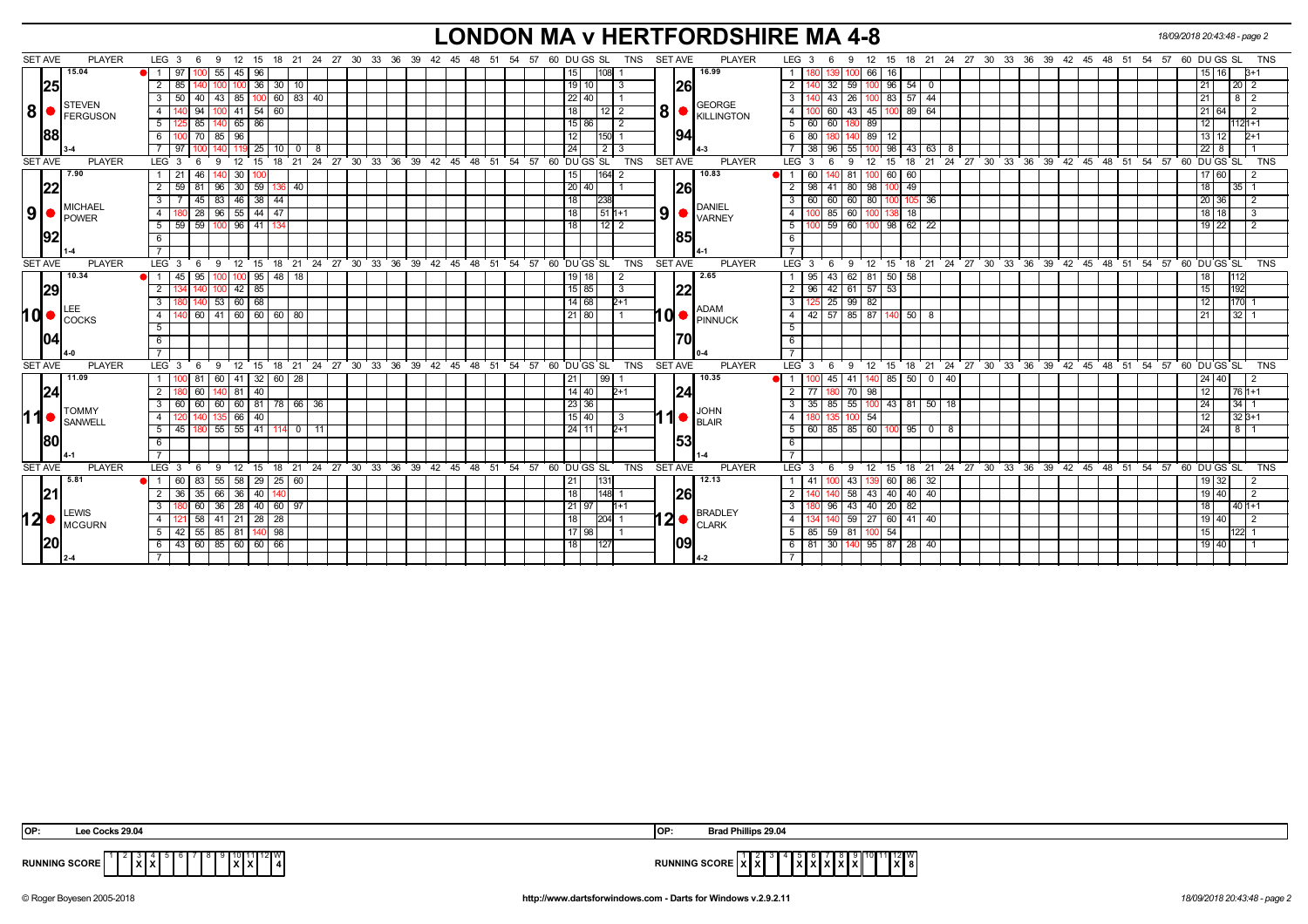# **LONDON MA v HERTFORDSHIRE MA 4-8** *18/09/2018 20:43:48 - page 2*

| <b>SET AVE</b> | <b>PLAYER</b>       | LEG <sub>3</sub><br>- 9<br>6                |                                      |    |  | 12 15 18 21 24 27 30 33 36 39 42 45 48 51 54 57 60 DUGS SL<br>TNS          | SET AVE<br><b>PLAYER</b>                                                                                                                        | 12 15 18 21 24 27 30 33 36 39 42 45 48 51 54 57 60 DU GS SL<br>LEG $3 \quad 6$<br>- 9 | <b>TNS</b>                    |
|----------------|---------------------|---------------------------------------------|--------------------------------------|----|--|----------------------------------------------------------------------------|-------------------------------------------------------------------------------------------------------------------------------------------------|---------------------------------------------------------------------------------------|-------------------------------|
|                | 15.04               | 55<br>97                                    | 96<br>45                             |    |  | 15<br>108                                                                  | 16.99                                                                                                                                           | 66 I<br>16<br>1001                                                                    | $B+1$<br>15 I                 |
|                | 25                  | 2   85                                      | 100 36 30 10                         |    |  | 19 10<br>3                                                                 | <b>26</b>                                                                                                                                       | -32 I<br> 59 <br>$96$ 54 0                                                            | 21  <br>$20 \mid 2$           |
|                |                     | 50 40<br>3 I                                | 60 83 40<br>43 85 100                |    |  | $22$   40                                                                  |                                                                                                                                                 | 26 <br>100 83 57 44<br>$\cdot$ 43 $\cdot$                                             | 812<br>  21                   |
| 8 <sup>1</sup> | <b>STEVEN</b>       | 94<br>$\overline{4}$                        | 54 <br>41<br>60                      |    |  | 18<br>12 I 2                                                               | <b>GEORGE</b><br>$\mathbf{8}$ $\bullet$ $\mathbf{R}$ $\mathbf{R}$ $\mathbf{R}$ $\mathbf{R}$ $\mathbf{R}$ $\mathbf{R}$ $\mathbf{R}$ $\mathbf{R}$ | 43<br>45 100 89<br>64<br>60                                                           |                               |
|                | FERGUSON            | 85<br>$140$ 65<br>5  <br>25 I               | 86                                   |    |  | 15 86<br>$\overline{2}$                                                    |                                                                                                                                                 | 60<br>89<br>60                                                                        | $1121 + 1$<br>12 <sup>1</sup> |
|                | <b>88</b>           | $\overline{100}$ 70 85 96<br>6 I            |                                      |    |  | 12<br>150                                                                  | 94                                                                                                                                              | 140 89 12<br>80<br>1801                                                               | 13 12<br>$2+1$                |
|                |                     | 97                                          | 25<br>10 I O                         | 8  |  | 24<br>2                                                                    |                                                                                                                                                 | 38<br>55<br>98 I<br>43<br>96<br>63 I                                                  | 221                           |
| <b>SET AVE</b> | <b>PLAYER</b>       | LEG <sub>3</sub><br>9<br>12<br>6            | 15                                   |    |  | 18 21 24 27 30 33 36 39 42 45 48 51 54 57 60 DUGS SL<br><b>TNS</b>         | <b>SET AVE</b><br><b>PLAYER</b>                                                                                                                 | 21 24 27 30 33 36 39 42 45 48 51 54 57 60 DUGS SL<br>12<br>18<br>-3<br>9<br>15<br>6   | <b>TNS</b>                    |
|                | 7.90                | 1   21<br>46                                | 30 <sup>1</sup><br>10C               |    |  | 164<br>15 <sub>l</sub><br>2                                                | 10.83                                                                                                                                           | 81<br>60 60<br>60                                                                     | 17 60                         |
|                | <b>22</b>           | 2<br>59<br>96 30                            | 59<br>136 40                         |    |  | 20 40                                                                      | 26                                                                                                                                              | 98<br>80 98 100 49<br>l 41                                                            | 18<br>$35$   1                |
|                | MICHAEL             | 45<br>83<br> 46 <br>3                       | 38<br>44                             |    |  | 18<br>238                                                                  |                                                                                                                                                 | 60<br>60 l<br>80<br>60<br>36<br>105<br>l OO I                                         | 20 36                         |
| 9              | POWER               | 180 28 96 55 44 47<br>4 I                   |                                      |    |  | 18<br>$1511+1$                                                             | DANIEL<br>9 <sup>1</sup><br>I VARNEY                                                                                                            | 100 85 60 100 138 18                                                                  | 18   18                       |
|                |                     | $100$ 96   41<br>$5 \mid 59 \mid 59 \mid$   |                                      |    |  | 18<br>$12$ 2                                                               |                                                                                                                                                 | 100 59 60 100 98 62 22                                                                | 19   22                       |
|                | 1921                | 6                                           |                                      |    |  |                                                                            | 85                                                                                                                                              |                                                                                       |                               |
|                |                     |                                             |                                      |    |  |                                                                            |                                                                                                                                                 |                                                                                       |                               |
| <b>SET AVE</b> | <b>PLAYER</b>       | LEG 3<br>6                                  |                                      |    |  | 9 12 15 18 21 24 27 30 33 36 39 42 45 48 51 54 57 60 DUGSSL                | TNS SET AVE<br><b>PLAYER</b>                                                                                                                    | $LEG_3$ 6<br>9 12 15 18 21 24 27 30 33 36 39 42 45 48 51 54 57                        | 60 DU GS SL<br><b>TNS</b>     |
|                | 10.34               | 45<br>95<br>11                              | $100$ 95  <br>48   18                |    |  | 18                                                                         | 2.65                                                                                                                                            | $62$ 81<br>43<br>$50 \overline{58}$<br>95                                             |                               |
|                | 29                  | $100$ 42 85<br>$\overline{2}$<br>140        |                                      |    |  | 15 85<br>$\overline{3}$                                                    | 22                                                                                                                                              | $96$ 42 61 57 53                                                                      | 192<br>15                     |
|                |                     | 140 53 60 68<br>3 I<br>80                   |                                      |    |  | 14 68 <br>$2+1$                                                            |                                                                                                                                                 | 125 25 99 82                                                                          | 170 1<br>12                   |
| <b>hd</b>      | LEE<br><b>COCKS</b> | $\overline{4}$                              |                                      |    |  | 21 80                                                                      | <b>ADAM</b><br>$10$ $\bullet$ $\beta$ $\beta$ $\beta$ $\beta$ $\beta$ $\beta$ $\beta$                                                           | $42$ 57 85 87 140 50<br>- 8                                                           | $32$ 1<br>121                 |
|                |                     | 5                                           |                                      |    |  |                                                                            |                                                                                                                                                 |                                                                                       |                               |
|                |                     | 6                                           |                                      |    |  |                                                                            | l70l                                                                                                                                            |                                                                                       |                               |
|                |                     |                                             |                                      |    |  |                                                                            |                                                                                                                                                 |                                                                                       |                               |
| <b>SET AVE</b> | <b>PLAYER</b>       | LEG <sub>3</sub><br>- 6                     |                                      |    |  | 9 12 15 18 21 24 27 30 33 36 39 42 45 48 51 54 57 60 DUGS SL<br><b>TNS</b> | SET AVE<br><b>PLAYER</b>                                                                                                                        | 12 15 18 21 24 27 30 33 36 39 42 45 48 51 54 57 60 DUGS SL TNS<br>LEG 3<br>6<br>9     |                               |
|                | 11.09               | 00 81                                       | 60   41   32   60   28               |    |  | 21<br>99                                                                   | 10.35                                                                                                                                           | 41   140   85   50   0   40<br>45                                                     | 24   40  <br>l 2              |
|                | 24                  | <sup>2</sup><br>60                          | 40<br>81                             |    |  | $14$ 40<br>$2+1$                                                           | 24                                                                                                                                              | $\overline{70}$<br>98<br>-77                                                          | $1761+1$<br>l 12 l            |
|                | <b>TOMMY</b>        | $3   60   60   60   60   81   78   66   36$ |                                      |    |  | 23 36                                                                      |                                                                                                                                                 | 35   85   55   100   43   81   50   18                                                | $34 \mid 1$<br>24             |
| 11             | SANWELL             | $\overline{4}$                              | 40<br>66 l                           |    |  | $15$  40 <br>3                                                             | <b>JOHN</b><br>1<br>$\bigcup_{B\subseteq A R}$                                                                                                  | 54<br>100                                                                             | $32B+1$<br>12                 |
|                |                     | $55 \mid 55 \mid$<br>5  <br>45              | $\sqrt{41}$<br>$114$ 0               | 11 |  | 24 11<br>$2+1$                                                             |                                                                                                                                                 | $60$   85   85   60   100   95  <br>$\mathbf{0}$                                      | $8 \mid 1$<br> 24             |
|                | <b>1801</b>         | 6                                           |                                      |    |  |                                                                            | 53                                                                                                                                              |                                                                                       |                               |
|                |                     |                                             |                                      |    |  |                                                                            |                                                                                                                                                 |                                                                                       |                               |
| <b>SET AVE</b> | <b>PLAYER</b>       | LEG <sub>3</sub><br>9<br>6                  |                                      |    |  | 12 15 18 21 24 27 30 33 36 39 42 45 48 51 54 57 60 DUGS SL<br>TNS          | SET AVE<br><b>PLAYER</b>                                                                                                                        | $LEG^3$ 3<br>12 15 18 21 24 27 30 33 36 39 42 45 48 51 54 57 60 DUGS SL<br>- 6<br>9   | <b>TNS</b>                    |
|                | 5.81                | 1 60 83                                     | $55 \mid 58 \mid 29 \mid 25 \mid 60$ |    |  | 21<br> 131                                                                 | 12.13                                                                                                                                           | 43<br>60 86<br>-32                                                                    | 19 32                         |
|                | 121                 | 35<br>2 <sup>1</sup><br>66 36<br>36         | 40                                   |    |  | 18<br>148                                                                  | <b>26</b>                                                                                                                                       | 58<br>43 40 40<br>40                                                                  | 19 40                         |
|                |                     | 3<br>60<br>36<br>28                         | 40 <sup>1</sup><br>60   97           |    |  | $21 \mid 97$                                                               |                                                                                                                                                 | 43<br>20<br>82<br>40<br>96                                                            | $401+1$                       |
| 12 I           | LEWIS<br>MCGURN     | 58<br>4 I                                   | 41   21   28  <br>28                 |    |  | 204 <br>18                                                                 | <b>BRADLEY</b><br>l2 ●<br><b>CLARK</b>                                                                                                          | 59 27 60 41 40                                                                        | 19 40                         |
|                |                     | 5   42   55   85   81   140   98            |                                      |    |  | 17 98                                                                      |                                                                                                                                                 | 85   59   81   100 54                                                                 |                               |
|                |                     | 43 60 85 60 60 66                           |                                      |    |  | 18<br> 127                                                                 | 1091                                                                                                                                            | 140 95 87 28 40<br>81<br> 30                                                          | 19 40                         |
|                |                     |                                             |                                      |    |  |                                                                            |                                                                                                                                                 |                                                                                       |                               |
|                |                     |                                             |                                      |    |  |                                                                            |                                                                                                                                                 |                                                                                       |                               |

| OP:            | $S$ 29.0             | lOP:          | ips 29.04                      |
|----------------|----------------------|---------------|--------------------------------|
| <b>RUNNING</b> | <b>COOD</b><br>auuri | <b>RUNNI.</b> | .<br>inu suure<br><b>IAI01</b> |

© Roger Boyesen 2005-2018 **http://www.dartsforwindows.com - Darts for Windows v.2.9.2.11** *18/09/2018 20:43:48 - page 2*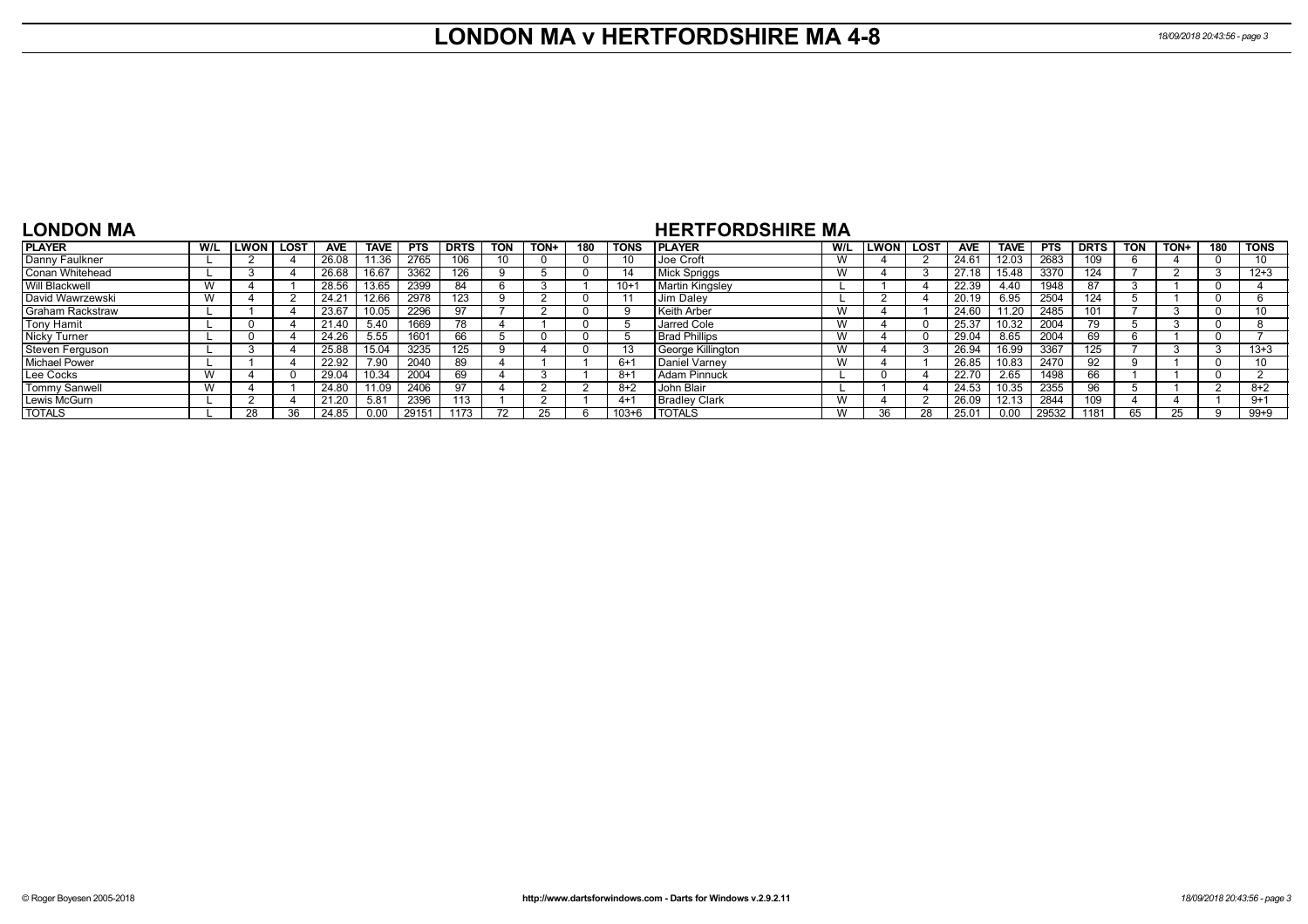## **LONDON MA v HERTFORDSHIRE MA 4-8** *18/09/2018 20:43:56 - page 3*

### **LONDON MA**

### **HERTFORDSHIRE MA**

| <b>PLAYER</b>           | W/L | .won I | LOST | <b>AVE</b>         | <b>TAVE</b> | <b>PTS</b> | <b>DRTS</b>  | <b>TON</b> | TON+ | 180 | <b>TONS</b> | <b>IPLAYER</b>       | W/L | <b>LWON</b> | LOS <sup>-</sup> | <b>AVE</b> | TAVE  | <b>PTS</b> | <b>DRTS</b> | <b>TON</b> | <b>TON-</b> | 180 | <b>TONS</b> |
|-------------------------|-----|--------|------|--------------------|-------------|------------|--------------|------------|------|-----|-------------|----------------------|-----|-------------|------------------|------------|-------|------------|-------------|------------|-------------|-----|-------------|
| Danny Faulkner          |     |        |      | 26.08              | 1.36        | 2765       | 106          | 10         |      |     |             | Joe Croft            | W   |             |                  | 24.61      | 12.03 | 2683       | 109.        |            |             |     | 10          |
| Conan Whitehead         |     |        |      | 26.68              | 16.67       | 3362       | 126          |            |      |     |             | Mick Spriggs         | W   |             |                  | 27.18      | 15.48 | 3370       | 124         |            |             |     | $12 + 3$    |
| <b>Will Blackwell</b>   | W   |        |      | $28.\overline{56}$ | 13.65       | 2399       |              |            |      |     | $10 + 7$    | Martin Kingsley      |     |             |                  | 22.39      | 4.40  | 1948       | 87          |            |             |     |             |
| David Wawrzewski        | W   |        |      | $24.2^{\circ}$     | 12.66       | 2978       | 123          |            |      |     |             | Jim Daley            |     |             |                  | 20.19      | 6.95  | 2504       | 124         |            |             |     |             |
| <b>Graham Rackstraw</b> |     |        |      | 23.67              | 10.05       | 2296       |              |            |      |     |             | Keith Arber          | W   |             |                  | 24.60      | 11.20 | 2485       |             |            |             |     |             |
| Tony Hamit              |     |        |      | 21.40              | 5.40        | 1669       | 78           |            |      |     |             | Jarred Cole          | W   |             |                  | 25.37      | 10.32 | 2004       | 79          |            |             |     |             |
| <b>Nicky Turner</b>     |     |        |      | 24.26              |             | 1601       | 66           |            |      |     |             | <b>Brad Phillips</b> | W   |             |                  | 29.04      | 8.65  | 2004       | 69          |            |             |     |             |
| <b>Steven Ferguson</b>  |     |        |      | 25.88              | 15.04       | 3235       | 125          |            |      |     |             | George Killington    | W   |             |                  | 26.94      | 16.99 | 3367       | 125         |            |             |     | $13 + 3$    |
| <b>Michael Power</b>    |     |        |      | 22.92              | 7.90        | 2040       | 89           |            |      |     | $6+$        | Daniel Varney        | W   |             |                  | 26.85      | 10.83 | 2470       | 92          |            |             |     |             |
| Lee Cocks               | W   |        |      | 29.04              | 10.34       | 2004       | 69           |            |      |     | -8+         | Adam Pinnuck         |     |             |                  | 22.70      | 2.65  | 1498       | 66          |            |             |     |             |
| <b>Tommy Sanwell</b>    | W   |        |      | 24.80              | 1.09        | 2406       |              |            |      |     | 8+2         | John Blair           |     |             |                  | 24.53      | 10.35 | 2355       | 96          |            |             |     | $8+2$       |
| Lewis McGurn            |     |        |      | 21.20              | 5.81        | 2396       | $^{\circ}13$ |            |      |     | $4+$        | <b>Bradley Clark</b> | W   |             |                  | 26.09      | 12.13 | 2844       | 109         |            |             |     | $9 + 1$     |
| <b>TOTALS</b>           |     |        |      | 24.85              |             | 2915       | 1173         |            |      |     | $103 + 6$   | <b>TOTALS</b>        | W   | ጓፍ          | 28               | 25.01      | 0.00  | 29532      | 1181        | 65         |             |     | $99 + 9$    |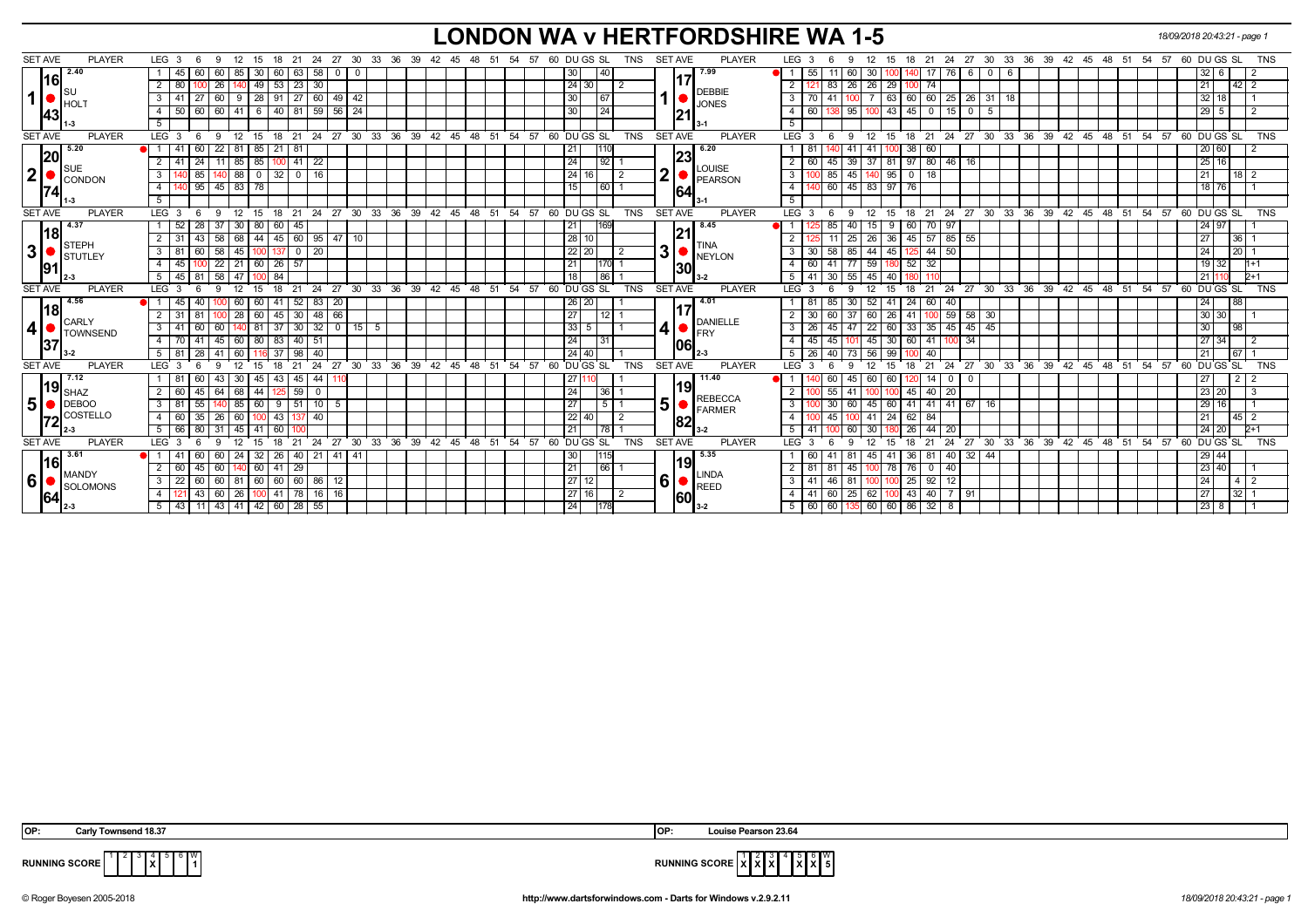## **LONDON WA v HERTFORDSHIRE WA 1-5** *18/09/2018 20:43:21 - page 1*

| <b>SET AVE</b><br><b>PLAYER</b>    | LEG 3<br>12<br>15<br>- 6<br>-9                                   | 18 21                                |                    |                                           | 24 27 30 33 36 39 42 45 48 51 54 57 60 DUGS SL<br>TNS              | <b>SET AVE</b><br><b>PLAYER</b>                      | 21  24  27  30  33  36  39  42  45  48  51  54  57  60  DU GS  SL<br>LEG <sub>3</sub><br>12<br>18<br>9<br>- 15 | <b>TNS</b>  |
|------------------------------------|------------------------------------------------------------------|--------------------------------------|--------------------|-------------------------------------------|--------------------------------------------------------------------|------------------------------------------------------|----------------------------------------------------------------------------------------------------------------|-------------|
| 2.40<br> 16                        | 60<br>60   85<br>30<br>45                                        | 60 63 58<br>$0$   0                  |                    |                                           | 40<br>30                                                           | 7.99                                                 | 32   6<br>55<br>60<br>30<br>6<br>I 6<br>0<br>76                                                                |             |
| ∥s∪                                | 26   140   49   53   23   30<br>2   80<br>טטו                    |                                      |                    |                                           | 24 30                                                              | <b>DEBBIE</b>                                        | $\mathbf{2}$<br>26 26 29<br>21 <sup>1</sup><br>83<br>  74<br>1001                                              | $42 \mid 2$ |
| $ 1  \bullet$<br>HOLT              | 60   9   28   91   27   60  <br>3<br>$\vert$ 27                  | 49 42                                |                    |                                           | 30<br>$\sqrt{67}$                                                  | <b>JONES</b>                                         | 3<br>60 60 25<br>$26$ 31 18<br>$32 \mid 18$<br>70 I 41<br>63<br>100                                            |             |
| 43                                 | 50   60   60   41   6   40   81   59   56   24<br>$\overline{4}$ |                                      |                    |                                           | 30<br>$\overline{24}$                                              |                                                      | 138 95<br>$100$ 43 45 0 15 0<br>$29 \overline{5}$<br>$\overline{4}$<br>60<br>5                                 |             |
| $-3$                               | 5                                                                |                                      |                    |                                           |                                                                    |                                                      | 5                                                                                                              |             |
| <b>SET AVE</b><br><b>PLAYER</b>    | LEG <sup>3</sup><br>$9 \t12 \t15$<br>$6\overline{6}$             |                                      |                    |                                           | 18 21 24 27 30 33 36 39 42 45 48 51 54 57 60 DUGS SL<br><b>TNS</b> | <b>SET AVE</b><br><b>PLAYER</b>                      | 12 15 18 21 24 27 30 33 36 39 42 45 48 51 54 57 60 DUGS SL<br>LEG <sup>3</sup><br>9<br>- 6                     | TNS         |
| 5.20<br> 20                        | 85<br>21<br>22   81<br>60                                        | 181                                  |                    |                                           | 21                                                                 | 6.20<br>23                                           | 20 60<br>38<br>-60<br>-81<br>41<br>41                                                                          |             |
| $\blacksquare$                     | $41 \overline{24}$<br>$11 \mid 85 \mid 85$<br>2                  | $100$ 41 22                          |                    |                                           | 24<br>92                                                           | LOUISE                                               | 25 16<br>39<br>97<br>$\overline{2}$<br>37 81<br>80   46  <br>16<br>60<br>-45                                   |             |
| 2 <br>CONDON                       | 0 <sub>85</sub><br>$140$ 88 0<br>3                               | $32$ 0 16                            |                    |                                           | 24 16 <br>2                                                        | 2 <sub>1</sub><br>PEARSON                            | $\overline{3}$<br>45<br>$\overline{0}$<br>21<br>140 95<br>85<br>-18                                            | $18$   2    |
| 74                                 | 0 95 45 83 78<br>4                                               |                                      |                    |                                           | 15<br>$\boxed{60}$                                                 | 64                                                   | 45 83 97 76<br>$\overline{4}$<br>18 76<br>140 60                                                               |             |
|                                    | 5 <sup>7</sup>                                                   |                                      |                    |                                           |                                                                    |                                                      | 5                                                                                                              |             |
| <b>SET AVE</b><br><b>PLAYER</b>    | LEG <sub>3</sub><br>12 15<br>$6\overline{6}$<br>9                |                                      |                    | 18 21 24 27 30 33 36 39 42 45 48 51<br>54 | 57 60 DU GS SL<br><b>TNS</b>                                       | <b>SET AVE</b><br><b>PLAYER</b>                      | $LEG \ 3$<br>18 21 24 27 30 33 36 39 42 45 48 51 54 57 60 DUGS SL<br>12 15<br>9<br>- 6                         | <b>TNS</b>  |
| 4.37                               | 28<br>37<br> 30 80<br>52                                         | 60 45                                |                    |                                           | 21<br>169                                                          | 8.45                                                 | $\overline{1}$<br>40<br>60<br>24 97<br>85<br>9<br>70   97                                                      |             |
| l18                                | 58   68   44<br>2 31<br>  43                                     | $45 \mid 60 \mid 95 \mid 47 \mid 10$ |                    |                                           | 28 10                                                              |                                                      | 25<br>45<br>57   85<br>26 36<br>55<br>27 <sup>1</sup>                                                          | 36          |
| STEPH<br> 3 <br>STUTLEY            | $3 \ 81 \ 60$<br>$58 \mid 45 \mid$<br>100                        | $\sqrt{20}$<br>$137$ 0               |                    |                                           | 22 20 <br>2                                                        | <b>TINA</b><br>3 <sup>1</sup><br><b>NEYLON</b>       | 85<br>3<br>58<br>44 45<br>$44 \mid 50$<br>24<br>30<br>125                                                      | 20          |
| 91                                 | $22$   21   60  <br>4   45  <br>100                              | $\boxed{26}$ 57                      |                    |                                           | 21                                                                 | <b>30</b>                                            | 52<br>77<br>$19$ 32<br>$\overline{4}$<br>60   41  <br>59 180<br>32                                             |             |
|                                    | $58 \mid 47 \mid$<br>$5 \t 45 \t 81$<br>84<br>100                |                                      |                    |                                           | 18<br>86                                                           |                                                      | 5<br>$41 \overline{)30}$<br>55<br>$45 \overline{40}$<br>211                                                    | $D+1$       |
| <b>SET AVE</b><br><b>PLAYER</b>    | LEG <sub>3</sub><br>12<br>15<br>- 6<br>9                         | 18 21                                |                    |                                           | 24 27 30 33 36 39 42 45 48 51 54 57 60 DUGS SL<br><b>TNS</b>       | <b>SET AVE</b><br><b>PLAYER</b>                      | $LEG^3$ 3<br>12<br>18 21 24 27 30 33 36 39 42 45 48 51 54 57 60 DUGS SL<br>15<br>9<br>- 6                      | <b>TNS</b>  |
| 4.56                               | 40<br>60<br>45<br>60 I                                           | $41 \mid 52 \mid 83$<br>20           |                    |                                           | $26$   $20$                                                        | 4.01                                                 | 30<br>$52 \overline{41}$<br>24<br>88<br>60 40<br>24<br>81<br>85                                                |             |
| 18                                 | $128$ 60<br>2 31 81                                              | 45 30 48<br>66                       |                    |                                           | 27<br>12 <sub>1</sub>                                              |                                                      | $58$ 30<br>30 30<br>37<br>$100$ 59<br>$\overline{2}$<br>30 60<br>60<br>$\vert$ 26<br>41                        |             |
| CARLY<br>$4\bullet$                | 60 140 81<br>$3 \mid 41$<br>60                                   | $37 \mid 30 \mid 32 \mid$            | $0 \mid 15 \mid 5$ |                                           | 33<br>5 <sup>5</sup>                                               | <b>DANIELLE</b><br>4<br>$\bullet$ $ $ <sub>FRY</sub> | 33<br> 45 45<br>47<br>22 60<br>$35 \mid 45 \mid$<br>30 <sup>1</sup><br>3<br>26<br>98<br>l 45                   |             |
| <b>TOWNSEND</b><br> 37             | 45 60 80 83 40 51<br>4 70 41                                     |                                      |                    |                                           | 24<br>  31                                                         | 106 I                                                | 45 30<br>60<br>34<br>45<br> 45 <br>41 100<br>27 34<br>4<br>101                                                 |             |
| $13 - 2$                           | -28<br>41<br>37<br>5 8 1 8 1<br>60                               | 40<br>l 98                           |                    |                                           | 24 40                                                              |                                                      | 73<br>56<br>99<br>5<br>26 I 40<br>40<br>21 <sup>1</sup>                                                        | 67 I        |
| <b>SET AVE</b><br><b>PLAYER</b>    | LEG <sub>3</sub><br>12<br>15<br>18<br>- 6<br>9                   | 27<br>24<br>21                       |                    |                                           | 30 33 36 39 42 45 48 51 54 57 60 DUGS SL<br><b>TNS</b>             | <b>SET AVE</b><br><b>PLAYER</b>                      | LEG <sup>'</sup><br>21 24 27 30 33 36 39 42 45 48 51<br>54 57 60 DU GS SL<br>12<br>3<br>9<br>15<br>18          | <b>TNS</b>  |
| 7.12                               | 30 I<br>45<br>60<br>43                                           | 43   45  <br>44                      |                    |                                           | 27                                                                 | 11.40                                                | 45<br>60<br>60<br>27 I<br>60<br>14<br>$\mathbf 0$<br>0.                                                        | 212         |
| 119 $_{\sf SHAZ}$                  | 45<br>64   68  <br>44<br>2<br>I 60                               | 59  <br>$\mathbf 0$                  |                    |                                           | 24<br>36                                                           | 19                                                   | 55<br>45<br>23 20<br>$\mathbf{2}$<br>41<br>20<br>40 I                                                          |             |
| 5 <sup>1</sup><br>$\bigcirc$ DEBOO | 55<br>140 85 60<br>3   81                                        | $9 \mid 51 \mid 10$<br>- 5           |                    |                                           | 27<br>5                                                            | <b>REBECCA</b><br>5                                  | 3<br>60<br>$45 \ 60$<br>41<br>$41$ 41 67<br>$29$ 16<br>30<br>- 16                                              |             |
| <b>COSTELLO</b>                    | 35<br>26   60<br>4 60<br>100                                     | 43   137<br>40                       |                    |                                           | 22<br>40                                                           | <b>FARMER</b>                                        | $\overline{4}$<br>24<br>62<br>21<br>45<br>100<br>41<br>84                                                      | $45$   2    |
| 172                                | 80<br>5<br>l 66<br>31<br>41<br>60<br>l 45 l                      |                                      |                    |                                           | 21<br>78                                                           | <b>82</b>                                            | 60<br>26<br>44<br>$24$ 20<br>5<br>30<br>41<br>l 20                                                             | $2+1$       |
| <b>SET AVE</b><br><b>PLAYER</b>    | LEG <sub>3</sub><br>12<br>15<br>18                               | 21<br>24                             |                    | 27 30 33 36 39 42 45 48 51                | 54 57 60 DUGS SL<br><b>TNS</b>                                     | <b>SET AVE</b><br><b>PLAYER</b>                      | $LEG^{\prime}$ 3<br>12<br>$^{\circ}$ 24<br>27 30 33 36 39 42 45 48 51 54 57 60 DUGS SL<br>18<br>21<br>-9       | <b>TNS</b>  |
| 3.61                               | $24 \overline{32}$<br>60<br>60                                   | $26$ 40 21<br>41 41                  |                    |                                           | 30                                                                 | 5.35                                                 | 36<br>32<br>29 44<br>$81 \mid 40$<br>$45 \overline{41}$<br>44<br>60<br>81                                      |             |
| I161                               | 60 140 60<br>45<br>2<br>60                                       | $41 \mid 29$                         |                    |                                           | 21<br>66                                                           | 19                                                   | 45<br>76<br>23 40<br>100 78<br>$\mathbf{2}$<br>-81<br>$\begin{array}{c c} 0 & 40 \end{array}$<br>l 81          |             |
| MANDY<br>6                         | 60 81 60<br>$3 \mid 22 \mid 60$                                  | 60 60 86<br>12                       |                    |                                           | 27<br>12                                                           | LINDA<br>6 <sup>1</sup>                              | 25<br>$\mathbf{3}$<br>$ 46\rangle$<br>81<br>24 <sup>1</sup><br>41<br>  92   12                                 | 4 2         |
| SOLOMONS                           | 60 26<br>4 12<br>43<br>100                                       | 41 78 16<br>16                       |                    |                                           | 27 16                                                              | <b>REED</b>                                          | 25<br>43<br>40<br>7 91<br>27<br>$\overline{4}$<br>$41 \ 60$<br>62                                              | $32$ 1      |
| 64                                 | 5   43   11   43   41   42   60   28   55                        |                                      |                    |                                           | 24<br>1178                                                         | 60                                                   | 60 60 86<br>60   60<br>$23 \quad 8$<br>$5-1$<br>$32$ 8<br>135 I                                                |             |
|                                    |                                                                  |                                      |                    |                                           |                                                                    |                                                      |                                                                                                                |             |

 **OP: Carly Townsend 18.37 OP: Louise Pearson 23.64**

**X** 6 W



**RUNNING SCORE**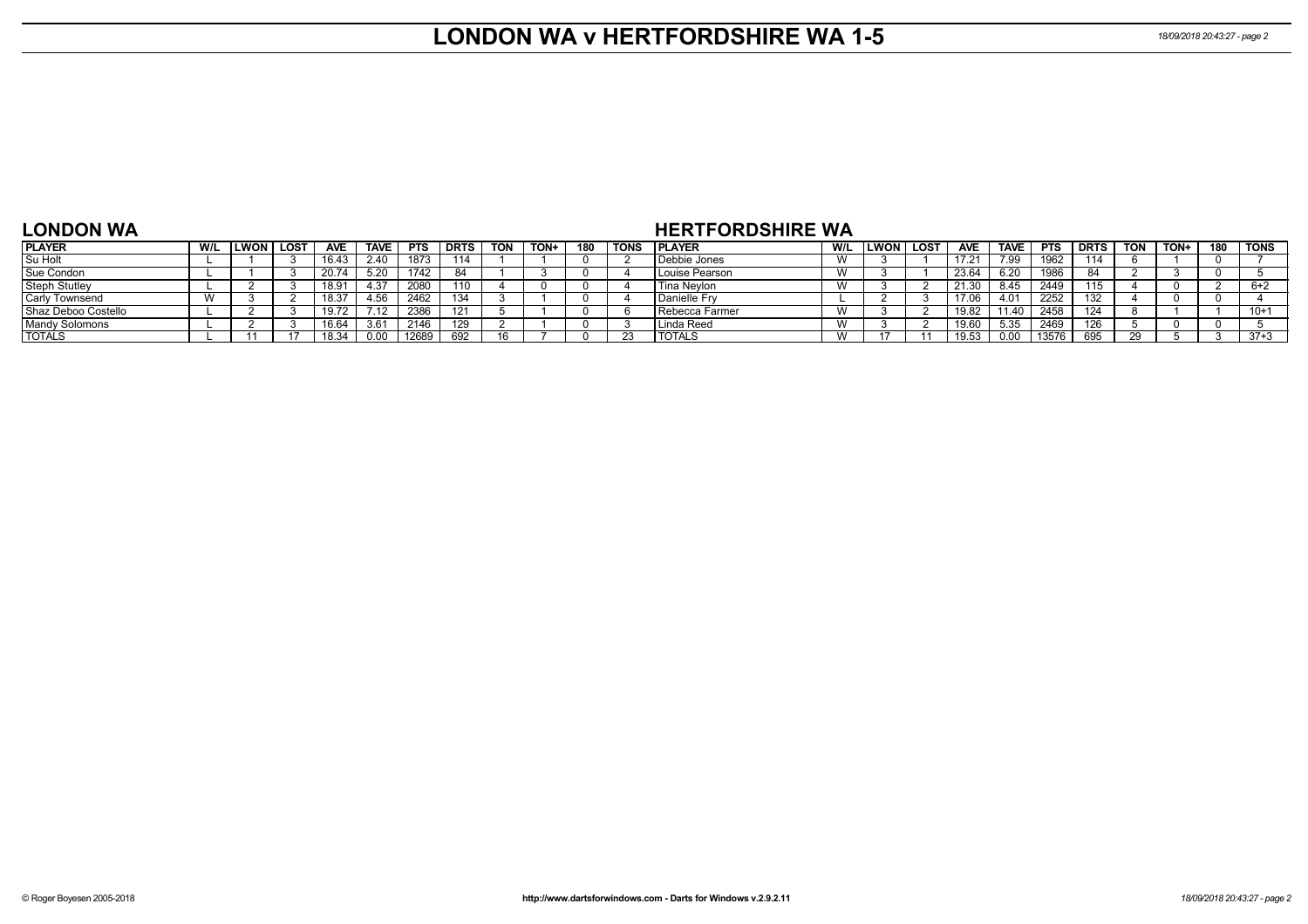## **LONDON WA v HERTFORDSHIRE WA 1-5** *18/09/2018 20:43:27 - page 2*

#### **LONDON WA**

### **HERTFORDSHIRE WA**

| <b>PLAYER</b>         | W/L | LWON. | <b>LOST</b> | <b>AVE</b>        | <b>TAVE</b> | <b>PTS</b> | <b>DRTS</b> | <b>TON</b> | TON+ | 180 | <b>TONS</b> | <b>PLAYER</b>    | W/L          | LWON | <b>LOS</b> | <b>AVE</b> | <b>TAVE</b> | <b>PTS</b> | <b>DRTS</b> | TON | TON+ | 180 | <b>TONS</b> |
|-----------------------|-----|-------|-------------|-------------------|-------------|------------|-------------|------------|------|-----|-------------|------------------|--------------|------|------------|------------|-------------|------------|-------------|-----|------|-----|-------------|
| Su Holt               |     |       |             | 16.43             | 2.40        | 1873       | 114         |            |      |     |             | Debbie Jones     | $\mathbf{M}$ |      |            | 17 21      | 7.99        | 1962       | 114         |     |      |     |             |
| Sue Condon            |     |       |             |                   | 5.20        | 1742       |             |            |      |     |             | l Louise Pearson | W            |      |            | 23.64      | 6.20        | 1986       |             |     |      |     |             |
| <b>Steph Stutley</b>  |     |       |             | 18.9 <sup>.</sup> | .37         | 2080       | 110         |            |      |     |             | Tina Neylon      | W            |      |            | 21.30      | 8.45        | 2449       | 115         |     |      |     | 5+2         |
| <b>Carly Townsend</b> |     |       |             | 18.37             | 56،،        | 2462       | 134         |            |      |     |             | Danielle Fry     |              |      |            | 17.06      | 4.01        | 2252       |             |     |      |     |             |
| Shaz Deboo Costello   |     |       |             | 10.14             |             | 2386       | 101         |            |      |     |             | l Rebecca Farmer | $\lambda$    |      |            | 19.82      | 11.40       | 2458       |             |     |      |     | $10+$       |
| Mandy Solomons        |     |       |             | 16.64             | 3.61        | 2146       | 129         |            |      |     |             | Linda Reed       | W            |      |            | 19.60      | 5.35        | 2469       | 126         |     |      |     |             |
| <b>TOTALS</b>         |     |       |             | 18.34             | 0.00        | 12689      | 692         |            |      |     |             | TOTALS           | W            |      |            | 19.53      | ი იი        | 13576      | 695         |     |      |     | $37+3$      |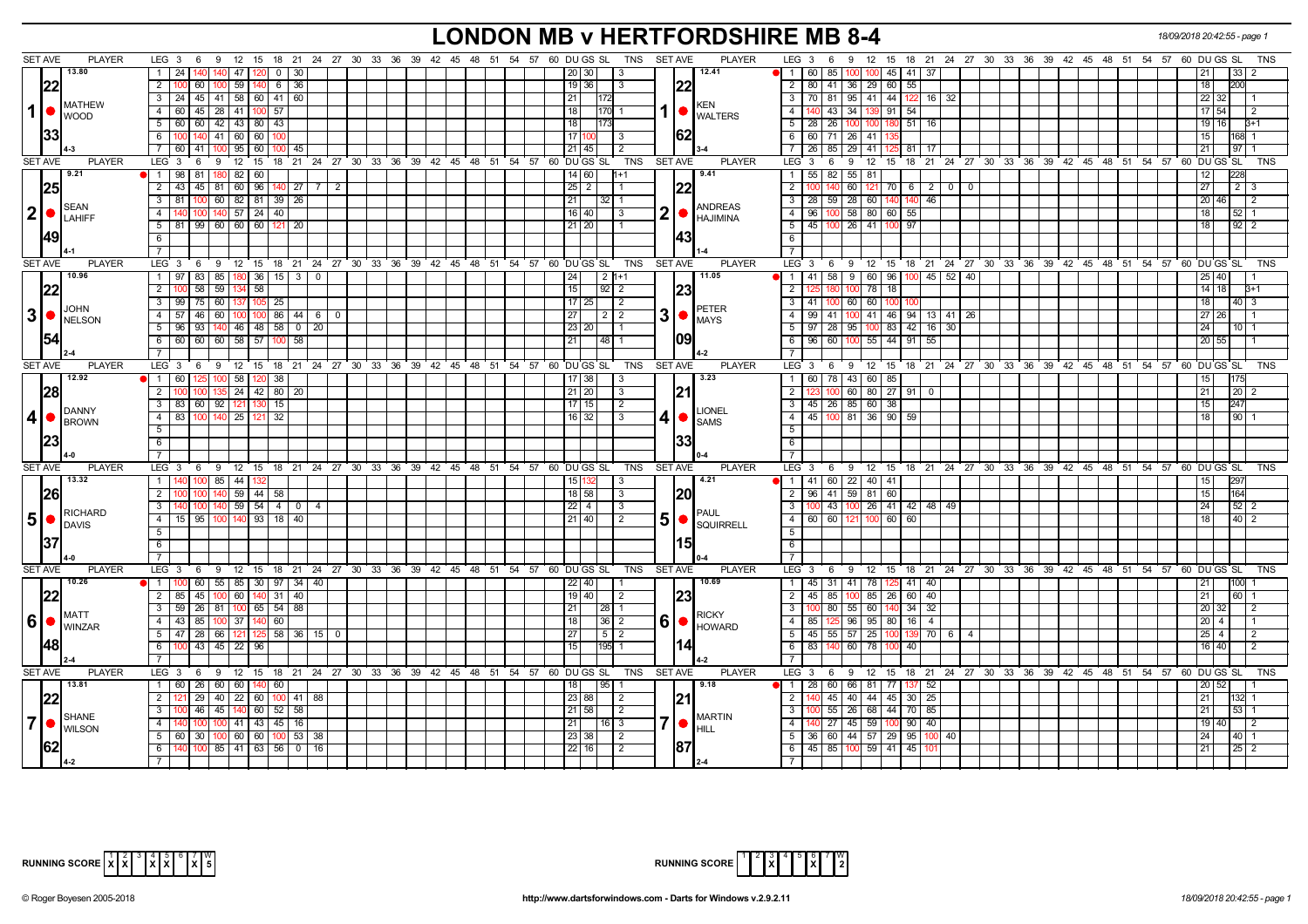# **LONDON MB v HERTFORDSHIRE MB 8-4** *18/09/2018 20:42:55 - page 1*

|                | <b>SET AVE</b> | <b>PLAYER</b>                                 | LEG $3 \quad 6$                                                                            |                 |                         |                |  |  |  | 9 12 15 18 21 24 27 30 33 36 39 42 45 48 51 54 57 60 DUGS SL TNS SETAVE |                |                |                | <b>PLAYER</b>            | LEG $3 \quad 6$<br>9 12 15 18 21 24 27 30 33 36 39 42 45 48 51 54 57 60 DUGS SL        |                |                                        |                |  |  |  |                                                            |              | TNS        |
|----------------|----------------|-----------------------------------------------|--------------------------------------------------------------------------------------------|-----------------|-------------------------|----------------|--|--|--|-------------------------------------------------------------------------|----------------|----------------|----------------|--------------------------|----------------------------------------------------------------------------------------|----------------|----------------------------------------|----------------|--|--|--|------------------------------------------------------------|--------------|------------|
|                |                | 13.80                                         | $1 \mid 24$<br>47                                                                          |                 | 0   30                  |                |  |  |  | 201301<br>$\vert$ 3                                                     |                |                |                | 12.41                    | 60   85  <br>$\overline{1}$<br>100                                                     | $100$ 45 41 37 |                                        |                |  |  |  | 21                                                         | 33 I 2       |            |
|                | 22             |                                               | 2   100 60   100   59   140                                                                |                 | 6 36                    |                |  |  |  | $19$ 36                                                                 | $\vert$ 3      |                | 122            |                          | 80   41   36   29   60   55  <br>$\overline{2}$                                        |                |                                        |                |  |  |  | 18                                                         |              |            |
|                |                | <b>IMATHEW</b>                                | 3   24   45   41   58   60   41   60                                                       |                 |                         |                |  |  |  | 21<br>172                                                               |                |                |                |                          | $\sqrt{3}$<br>70 81 95 41 44                                                           | 122 16 32      |                                        |                |  |  |  | 22 32                                                      |              |            |
| $\mathbf{1}$   |                | <b>WOOD</b>                                   | 4 60 45 28 41 100 57                                                                       |                 |                         |                |  |  |  | 18<br> 170  1                                                           |                |                |                | KEN<br>1   WALTERS       | $\overline{4}$<br>140 43 34 139 91 54                                                  |                |                                        |                |  |  |  | 17 54                                                      | l 2          |            |
|                |                |                                               | $5 \mid 60 \mid 60 \mid 42 \mid 43 \mid 80 \mid 43$                                        |                 |                         |                |  |  |  | 18<br>173                                                               |                |                |                |                          | 5   28   26   100   100   180   51   16                                                |                |                                        |                |  |  |  | 19   16                                                    | $B+1$        |            |
|                |                |                                               | 6 100 140 41 60 60                                                                         |                 |                         |                |  |  |  | 17<br>$\vert$ 3                                                         |                |                | 62             |                          | 6<br>$60$ 71 26 41                                                                     |                |                                        |                |  |  |  | 15                                                         | 168 1        |            |
|                |                |                                               | 7 60 41 100 95 60 100 45                                                                   |                 |                         |                |  |  |  | 21   45                                                                 | 2              |                |                |                          | 26   85   29   41   125<br>$\overline{7}$                                              | $81$ 17        |                                        |                |  |  |  | 21                                                         | $97$ 1       |            |
|                | <b>SET AVE</b> | <b>PLAYER</b>                                 | 9 12 15 18 21 24 27 30 33 36 39 42 45 48 51 54 57 60 DUGS SL<br>$LEG_3$ 6                  |                 |                         |                |  |  |  |                                                                         | <b>TNS</b>     |                | <b>SET AVE</b> | <b>PLAYER</b>            | 9 12 15 18 21 24 27 30 33 36 39 42 45 48 51 54 57 60 DUGSSL<br>LEG <sub>3</sub><br>- 6 |                |                                        |                |  |  |  |                                                            |              | <b>TNS</b> |
|                |                | 9.21                                          | 180 82 60<br>1 98 81                                                                       |                 |                         |                |  |  |  | 14 60                                                                   |                |                |                | 9.41                     | $55$ 81<br>$\overline{1}$<br>55   82                                                   |                |                                        |                |  |  |  |                                                            |              |            |
|                | 25             |                                               | 2 43 45 81 60 96                                                                           |                 | $140$ 27 $\overline{7}$ | $\overline{2}$ |  |  |  | $25 \mid 2$                                                             |                |                | 122            |                          | $\overline{2}$<br>60                                                                   |                | $121 \quad 70 \quad 6 \quad 2 \quad 0$ | $\overline{0}$ |  |  |  | 27                                                         | $2 \mid 3$   |            |
|                |                | <b>SEAN</b>                                   | 60 82 81 39 26<br>$3 \mid 81$<br>100                                                       |                 |                         |                |  |  |  | 21<br>$32$ 1                                                            |                |                |                | <b>ANDREAS</b>           | 28 60 140<br>3<br>28<br>59                                                             | 140<br>46      |                                        |                |  |  |  | 20 46                                                      | $\sqrt{2}$   |            |
|                |                | $ 2  \bullet  _{\text{LAHIFF}}^{\text{SEAN}}$ | 100 140 57 24 40<br>4   140                                                                |                 |                         |                |  |  |  | 16   40                                                                 | l 3            | 2              |                | HAJIMINA                 | $58$ 80 60<br>$\overline{4}$<br>96 100                                                 | 55             |                                        |                |  |  |  | 18 <sup>1</sup>                                            | $52 \mid 1$  |            |
|                |                |                                               | 5 81 99 60 60 60 121 20                                                                    |                 |                         |                |  |  |  | 21 20                                                                   |                |                |                |                          | $\overline{5}$<br>26 41 100<br>45   100                                                | 97             |                                        |                |  |  |  | 18 <sup>1</sup>                                            | 9212         |            |
|                | 49             |                                               | 6                                                                                          |                 |                         |                |  |  |  |                                                                         |                |                | 1431           |                          | $-6$                                                                                   |                |                                        |                |  |  |  |                                                            |              |            |
|                |                |                                               | $\overline{7}$                                                                             |                 |                         |                |  |  |  |                                                                         |                |                |                |                          | $\overline{7}$                                                                         |                |                                        |                |  |  |  |                                                            |              |            |
|                | <b>SET AVE</b> | <b>PLAYER</b>                                 | LEG 3 6 9 12 15 18 21 24 27 30 33 36 39 42 45 48 51 54 57                                  |                 |                         |                |  |  |  | 60 DU GS SL                                                             | <b>TNS</b>     |                | <b>SET AVE</b> | <b>PLAYER</b>            | LEG 3 6 9 12 15 18 21 24 27 30 33 36 39 42 45 48 51 54 57 60 DUGS SL                   |                |                                        |                |  |  |  |                                                            |              | <b>TNS</b> |
|                |                | 10.96                                         | 1   97   83   85   180   36   15   3   0                                                   |                 |                         |                |  |  |  | 24<br>  2  1+1                                                          |                |                |                | 11.05                    | 11<br>$41$ 58<br>9<br>60 96                                                            | 100 I          | 45   52   40                           |                |  |  |  |                                                            |              |            |
|                | 122            |                                               | $58$ 59 134<br>$2 \overline{100}$                                                          | $\overline{58}$ |                         |                |  |  |  | 15<br>$92$   2                                                          |                |                | <b>23</b>      |                          | $\overline{2}$<br>78 18<br>100                                                         |                |                                        |                |  |  |  | $14$ 18                                                    | $3 + 1$      |            |
|                |                | JOHN                                          | 3   99   75   60   137   105   25                                                          |                 |                         |                |  |  |  | $17$ 25                                                                 | $\overline{2}$ |                |                | <b>PETER</b>             | $\overline{\phantom{a}3}$<br>41   100 60 60 100                                        |                |                                        |                |  |  |  | 18                                                         | 40 3         |            |
|                |                | $3$ $\bullet$ $\frac{100}{\text{NELSON}}$     | 4 57 46 60 100 100 86 44 6                                                                 |                 |                         | $\Omega$       |  |  |  | 27<br>212                                                               |                | 3              | $\bullet$      | <b>MAYS</b>              | $\overline{4}$<br>99   41  <br>100                                                     |                | 41 46 94 13 41                         | 26             |  |  |  | $27 \overline{26}$                                         |              |            |
|                |                |                                               | $5 \mid 96 \mid 93 \mid 140 \mid 46 \mid 48 \mid 58 \mid 0 \mid 20$                        |                 |                         |                |  |  |  | 23 20<br><b>11</b>                                                      |                |                | 109            |                          | $97   28   95   100   83   42   16   30$<br>$5-1$                                      |                |                                        |                |  |  |  | 24                                                         | $10$   1     |            |
|                |                |                                               | 6   60   60   60   58   57   100   58                                                      |                 |                         |                |  |  |  | 21<br>48 1                                                              |                |                |                |                          | 96 60 100 55 44 91 55<br>$6\overline{6}$                                               |                |                                        |                |  |  |  | 20 55                                                      |              |            |
|                | SET AVE        | <b>PLAYER</b>                                 | 7 <sup>7</sup><br>LEG 3 6 9 12 15 18 21 24 27 30 33 36 39 42 45 48 51 54 57 60 DUGS SL TNS |                 |                         |                |  |  |  |                                                                         |                |                | SET AVE        | <b>PLAYER</b>            | $\overline{7}$<br>LEG 3 6 9 12 15 18 21 24 27 30 33 36 39 42 45 48 51 54 57 60 DUGS SL |                |                                        |                |  |  |  |                                                            |              | TNS        |
|                |                | 12.92                                         | 1 60 125 100 58 120 38                                                                     |                 |                         |                |  |  |  | 17 38<br>$\vert$ 3                                                      |                |                |                | 3.23                     | 60   78   43   60   85<br>$\vert$ 1 $\vert$                                            |                |                                        |                |  |  |  | 15 <sub>l</sub>                                            |              |            |
|                |                |                                               | 135 24 42 80 20<br>$2 \mid 100$                                                            |                 |                         |                |  |  |  | 21 20                                                                   | $\vert$ 3      |                |                |                          | 100 60 80 27 91 0<br>$\overline{2}$                                                    |                |                                        |                |  |  |  | 21                                                         | $20 \mid 2$  |            |
|                | 28             |                                               | 3 83 60 92 121 130                                                                         | 15              |                         |                |  |  |  | $17$ 15                                                                 | $\overline{2}$ |                | 21             |                          | 3   45   26   85   60   38                                                             |                |                                        |                |  |  |  | 15 <sup>1</sup>                                            |              |            |
| $\vert$        |                | <b>DANNY</b>                                  | 4 83 100 140 25 121                                                                        | 32              |                         |                |  |  |  | $16$ 32                                                                 | 3              | 4              |                | <b>LIONEL</b>            | $\sqrt{4}$<br>45 100 81 36 90                                                          | 59             |                                        |                |  |  |  | 18                                                         | 90 1         |            |
|                |                | <b>BROWN</b>                                  | 5 <sup>1</sup>                                                                             |                 |                         |                |  |  |  |                                                                         |                |                |                | $\bullet$ SAMS           | 5                                                                                      |                |                                        |                |  |  |  |                                                            |              |            |
|                |                |                                               | 6                                                                                          |                 |                         |                |  |  |  |                                                                         |                |                | 133            |                          | 6                                                                                      |                |                                        |                |  |  |  |                                                            |              |            |
|                |                |                                               | $\overline{7}$                                                                             |                 |                         |                |  |  |  |                                                                         |                |                |                |                          | $\overline{7}$                                                                         |                |                                        |                |  |  |  |                                                            |              |            |
|                | <b>SET AVE</b> | <b>PLAYER</b>                                 | LEG 3 6 9 12 15 18 21 24 27 30 33 36 39 42 45 48 51 54 57 60 DUGS SL                       |                 |                         |                |  |  |  |                                                                         | TNS            |                | SET AVE        | <b>PLAYER</b>            | LEG 3 6 9 12 15 18 21 24 27 30 33 36 39 42 45 48 51 54 57 60 DUGS SL                   |                |                                        |                |  |  |  |                                                            |              | TNS        |
|                |                | 13.32                                         | $1 \quad 140$<br>$100$ 85 44                                                               |                 |                         |                |  |  |  | 15 <sup>1</sup>                                                         | -3             |                |                | 4.21                     | 1 41 60 22 40 41                                                                       |                |                                        |                |  |  |  | 15                                                         |              |            |
|                |                |                                               | 140 59 44 58<br>2 <sup>1</sup><br>100                                                      |                 |                         |                |  |  |  | 18 58                                                                   | $\mathbf{3}$   |                | 120            |                          | $96$ 41 59 81 60<br>$\overline{2}$                                                     |                |                                        |                |  |  |  | 15                                                         |              |            |
|                |                |                                               | 100   140   59   54   4   0   4<br>3 140                                                   |                 |                         |                |  |  |  | 22 4                                                                    | l 3            |                |                |                          | $\overline{\mathbf{3}}$<br>100 43 100 26 41 42 48 49                                   |                |                                        |                |  |  |  | 24                                                         | $52 \mid 2$  |            |
| 5              |                | RICHARD                                       | 4   15   95   100   140   93   18   40                                                     |                 |                         |                |  |  |  | 21   40                                                                 | l 2            | 5 <sub>l</sub> | $\bullet$      | PAUL<br><b>SQUIRRELL</b> | 60 60 121 100 60 60<br> 4                                                              |                |                                        |                |  |  |  | 18 <sup>1</sup>                                            | $40 \mid 2$  |            |
|                |                | <b>IDAVIS</b>                                 | 5                                                                                          |                 |                         |                |  |  |  |                                                                         |                |                |                |                          | $-5$                                                                                   |                |                                        |                |  |  |  |                                                            |              |            |
|                |                |                                               | 6                                                                                          |                 |                         |                |  |  |  |                                                                         |                |                | 151            |                          | 6                                                                                      |                |                                        |                |  |  |  |                                                            |              |            |
|                |                |                                               | $\overline{7}$                                                                             |                 |                         |                |  |  |  |                                                                         |                |                |                |                          | $\overline{7}$                                                                         |                |                                        |                |  |  |  |                                                            |              |            |
|                | <b>SET AVE</b> | <b>PLAYER</b>                                 | $LEG_3$ 6                                                                                  |                 |                         |                |  |  |  | 9 12 15 18 21 24 27 30 33 36 39 42 45 48 51 54 57 60 DUGS SL            | TNS            |                | SET AVE        | <b>PLAYER</b>            | $LEG \ 3$<br>9<br>- 6                                                                  |                |                                        |                |  |  |  | 12 15 18 21 24 27 30 33 36 39 42 45 48 51 54 57 60 DUGS SL |              | <b>TNS</b> |
|                |                | 10.26                                         | 60   55   85   30   97   34   40<br>1 100                                                  |                 |                         |                |  |  |  | $22$ 40                                                                 |                |                |                | 10.69                    | 45 31 41 78 125 41 40<br>$\overline{1}$                                                |                |                                        |                |  |  |  | 21                                                         | 100          |            |
|                | 22             |                                               | 2   85   45   100   60   140   31   40                                                     |                 |                         |                |  |  |  | 19   40 <br>$\vert$ 2                                                   |                |                | 23             |                          | $\overline{2}$<br>$45 \mid 85$<br>85 26<br>100                                         | $60$ 40        |                                        |                |  |  |  | 21                                                         | 60 1         |            |
|                |                | <b>MATT</b>                                   | 3 59 26 81 100 65 54 88                                                                    |                 |                         |                |  |  |  | 21<br>  28   1                                                          |                |                |                | <b>RICKY</b>             | 3<br>55 60 140<br>100 80                                                               | $34 \mid 32$   |                                        |                |  |  |  | 20 32                                                      | l 2          |            |
| $6 \mid$       |                | <b>WINZAR</b>                                 | 4 43 85 100 37 140 60                                                                      |                 |                         |                |  |  |  | $36$   2<br>18                                                          |                | 6              |                | <b>HOWARD</b>            | 96 95 80<br>$\overline{4}$<br>85                                                       | $16 \mid 4$    |                                        |                |  |  |  | $20 \mid 4$                                                |              |            |
|                |                |                                               | 5 47 28 66 121 125                                                                         |                 | 58 36 15 0              |                |  |  |  | 27<br>5 2                                                               |                |                |                |                          | 45 55 57 25 100<br>5 <sup>5</sup>                                                      | 139            | 70 6                                   | $\overline{4}$ |  |  |  | $25 \mid 4$                                                | l 2          |            |
|                | 48             |                                               | 6 100 43 45 22 96                                                                          |                 |                         |                |  |  |  | 15<br>195 1                                                             |                |                | 14             |                          | $\sqrt{6}$<br>83 140<br>60 78 100                                                      | 40             |                                        |                |  |  |  | 16 40                                                      | l 2          |            |
|                |                |                                               | 7 <sup>1</sup>                                                                             |                 |                         |                |  |  |  |                                                                         |                |                |                |                          |                                                                                        |                |                                        |                |  |  |  |                                                            |              |            |
|                | SET AVE        | <b>PLAYER</b>                                 | LEG $3 \quad 6$<br>9                                                                       |                 |                         |                |  |  |  | 12 15 18 21 24 27 30 33 36 39 42 45 48 51 54 57 60 DUGS SL              | TNS            |                | SET AVE        | <b>PLAYER</b>            | 9 12 15 18 21 24 27 30 33 36 39 42 45 48 51 54 57 60 DUGS SL<br>LEG 3<br>6             |                |                                        |                |  |  |  |                                                            |              | TNS        |
|                |                | 13.81                                         | 1 60 26 60 60 140 60                                                                       |                 |                         |                |  |  |  | 95 1<br>18                                                              |                |                |                | 9.18                     | 28 60 66 81 77 137 52<br>$\sqrt{1}$                                                    |                |                                        |                |  |  |  | 20 52                                                      |              |            |
|                |                |                                               | $29$ 40 22 60 100 41 88<br>$2^{\circ}$                                                     |                 |                         |                |  |  |  | 23 88                                                                   | $\sqrt{2}$     |                | 21             |                          | $\overline{2}$<br>140 45 40 44 45 30 25                                                |                |                                        |                |  |  |  | 21                                                         | 132 1        |            |
|                |                | SHANE                                         | $\overline{\phantom{a}3}$<br>46 45 140 60 52 58                                            |                 |                         |                |  |  |  | $21 \, 58$                                                              | $\sqrt{2}$     |                |                | <b>MARTIN</b>            | 55   26   68   44   70   85<br>$\mathbf{3}$                                            |                |                                        |                |  |  |  | 21 <sup>1</sup>                                            | 53 L 1       |            |
| 7 <sup>1</sup> |                | <b>I</b> WILSON                               | 100 100 41 43 45 16<br>4 140                                                               |                 |                         |                |  |  |  | 21 <br>  16   3                                                         |                | 7  ●           |                | HILL                     | $140$ 27 45 59 100<br>$\overline{4}$                                                   | $90 \mid 40$   |                                        |                |  |  |  | 19 40                                                      | $\vert$ 2    |            |
|                |                |                                               | $5 \mid 60 \mid 30 \mid 100 \mid 60 \mid 60 \mid 100 \mid 53 \mid 38$                      |                 |                         |                |  |  |  | 23 38 <br>$\overline{2}$                                                |                |                |                |                          | $36 \ 60 \ 44 \ 57 \ 29 \ 95 \ 100 \ 40$<br>5                                          |                |                                        |                |  |  |  | 24                                                         | $40 \quad 1$ |            |
|                |                |                                               | $100 \ 85 \ 41 \ 63 \ 56 \ 0 \ 16$<br>- 6 I                                                |                 |                         |                |  |  |  | 22 16                                                                   | $\sqrt{2}$     |                | 187            |                          | 45 85 100 59 41 45<br>6                                                                |                |                                        |                |  |  |  | 21                                                         | $25 \mid 2$  |            |
|                |                |                                               | $\overline{7}$                                                                             |                 |                         |                |  |  |  |                                                                         |                |                |                |                          |                                                                                        |                |                                        |                |  |  |  |                                                            |              |            |



| $\begin{bmatrix} 1 & 2 & 3 & 4 & 5 & 6 & 7 & 8 \\ 1 & 1 & 2 & 3 & 4 & 5 & 8 & 7 \end{bmatrix}$<br><b>RUNNING SCORE</b><br>c I |
|-------------------------------------------------------------------------------------------------------------------------------|
|                                                                                                                               |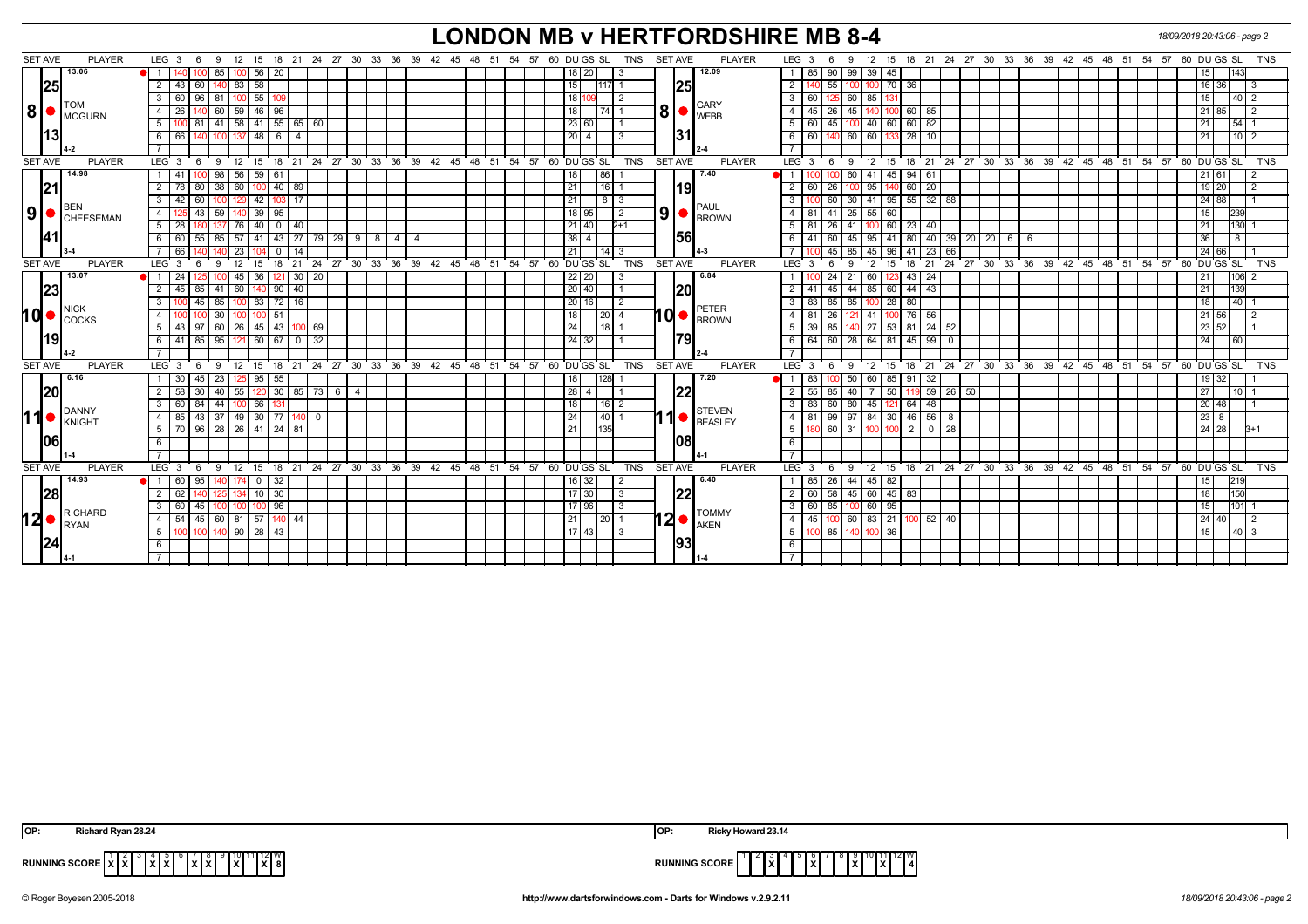# **LONDON MB v HERTFORDSHIRE MB 8-4** *18/09/2018 20:43:06 - page 2*

| <b>SET AVE</b> | <b>PLAYER</b>                                             | LEG $3 \quad 6$                                                          |                    |                                     | 9 12 15 18 21 24 27 30 33 36 39 42 45 48 51 54 57 60 DU GS SL | SET AVE<br><b>PLAYER</b><br>TNS                                                             | LEG $3 \quad 6$<br>9 12 15 18 21 24 27 30 33 36 39 42 45 48 51 54 57<br>60 DU GS SL<br>TNS                    |
|----------------|-----------------------------------------------------------|--------------------------------------------------------------------------|--------------------|-------------------------------------|---------------------------------------------------------------|---------------------------------------------------------------------------------------------|---------------------------------------------------------------------------------------------------------------|
|                | 13.06                                                     | $100$ 56 $\mid$ 20<br>85                                                 |                    |                                     |                                                               | 12.09<br>18 20                                                                              | 99 39 45<br>143<br>85   90<br>$\mathbf{1}$<br>15                                                              |
|                | 25                                                        | $140$ 83 58<br>$43 \ 60$<br>2                                            |                    |                                     |                                                               | 15<br><b>25</b><br>11171 1                                                                  | $\overline{2}$<br>140 55 100 100 70 36<br>16 36 1                                                             |
|                |                                                           | $100$ 55<br>96 81<br>3<br>60                                             |                    |                                     |                                                               | 18                                                                                          | $\overline{3}$<br>60 125 60 85 131<br>40 2<br>15 I                                                            |
| 8              | <b>ITOM</b>                                               | 46 <br>$\overline{26}$<br>60   59<br>$\overline{4}$<br>96                |                    |                                     |                                                               | <b>GARY</b><br>8 <sup>1</sup><br>18<br>74<br>WEBB                                           | 45 140 100<br>$\overline{4}$<br>60 85<br>$45 \mid 26$<br>85                                                   |
|                | MCGURN                                                    | $5$ 100 81 41 58 41 55 65 60                                             |                    |                                     |                                                               | 23 60                                                                                       | $100$ 40 60 60 82<br>5<br>$\overline{54}$ 1<br>60 45<br>21                                                    |
|                | <u> 13 </u>                                               | 140 100 137 48 6<br>$6 \overline{6}$<br>$\overline{4}$                   |                    |                                     |                                                               | 31 <br>$20 \mid 4 \mid$<br>-3                                                               | 60   140   60   60   133   28   10<br>6<br>10 <sup>2</sup><br>l 21 l                                          |
|                |                                                           |                                                                          |                    |                                     |                                                               |                                                                                             | $\overline{7}$                                                                                                |
| <b>SET AVE</b> | <b>PLAYER</b>                                             | $LEG_36$<br>9 12 15 18 21 24 27 30 33 36 39 42 45 48 51 54 57 60 DUGS SL |                    |                                     |                                                               | <b>TNS</b><br><b>SET AVE</b><br><b>PLAYER</b>                                               | $LEG \ 3 \ 6$<br>9 12 15 18 21 24 27 30 33 36 39 42 45 48 51 54 57 60 DUGSSL<br><b>TNS</b>                    |
|                | 14.98                                                     | 98 56 59 61<br>$\overline{1}$<br>l 41                                    |                    |                                     |                                                               | 7.40<br>86<br>18                                                                            | 60<br>41 45 94 61<br>M 1<br>21 I 61 I                                                                         |
|                | 21                                                        | $140$ 89<br>38 I<br>60<br>80<br>100                                      |                    |                                     |                                                               | 19 <br>21<br>16                                                                             | $ 40 $ 60   20<br>$\overline{2}$<br>95 <sup>1</sup><br>19 20<br>60<br>l 26                                    |
|                |                                                           | 42<br>60<br>42<br>17<br>3                                                |                    |                                     |                                                               | 21<br>8<br>∣3                                                                               | $55 \mid 32 \mid 88$<br>3<br>30 <sup>1</sup><br>41 95<br>24 88<br>60                                          |
|                | IBEN<br>$\left  9 \right $ $\bullet$ <b>SEN</b> CHEESEMAN | 39<br>43<br>59<br>95<br>4                                                |                    |                                     |                                                               | <b>PAUL</b><br>$\vert 9 \vert$ $\bullet$ $\vert_{\text{BROWN}}$<br>18 95 <br>$\overline{2}$ | $25 \ 55 \ 60$<br>4<br>81<br>  41  <br>15                                                                     |
|                |                                                           | 5 28<br>-40 I<br>$\overline{0}$<br>40<br>76 I                            |                    |                                     |                                                               | 21   40  <br>$2+1$                                                                          | 5 <sup>5</sup><br>41<br>$23 \mid 40$<br>81<br>100 60<br>21 <sup>1</sup><br>130<br>26                          |
|                | <b>141</b>                                                | 55<br>43 27 79<br>-6<br>60<br>57   41  <br>85                            | $29 \mid 9 \mid 8$ |                                     |                                                               | 56<br>$38 \mid 4$                                                                           | 6<br>45   95   41   80   40   39   20   20   6<br>36<br>41<br>60<br>6<br>l 8                                  |
|                |                                                           | 23<br>14<br>$\overline{\mathbf{0}}$<br>1041                              |                    |                                     |                                                               | 21<br> 14 3                                                                                 | 85 45 96 41 23 66<br>1001 45 I<br>24 66                                                                       |
| <b>SET AVE</b> | <b>PLAYER</b>                                             | LEG <sub>3</sub><br>9<br>12<br>15<br>- 6                                 |                    | 18 21 24 27 30 33 36 39 42 45 48 51 | 54<br>57                                                      | 60 DU GS SL<br>TNS<br><b>SET AVE</b><br><b>PLAYER</b>                                       | 18 21 24 27 30 33 36 39 42 45 48 51 54 57<br>LEG <sup>3</sup><br>$12 \quad 15$<br>60 DU GS SL<br>9<br>- 6     |
|                | 13.07                                                     | 36<br>30 I<br>45                                                         | -20                |                                     |                                                               | 6.84<br>$22$   20                                                                           | $43 \mid 24$<br>21<br>$\mathbf{1}$<br>60                                                                      |
|                | 23                                                        | 140 90 40<br>85<br>2<br>45 I<br>  60  <br>41                             |                    |                                     |                                                               | 20 <br>20 40                                                                                | 44 85 60<br>$44 \mid 43$<br>$\overline{2}$<br>139<br>$41 \mid 45$<br>21 <sup>1</sup>                          |
|                |                                                           | 100 83 72 16<br>45<br>85<br>$\mathbf{3}$                                 |                    |                                     |                                                               | 20 16 <br>$\overline{2}$                                                                    | 85 100 28 80<br>3<br>83 85<br> 40 <br>18                                                                      |
| hd•            | NICK<br><b>COCKS</b>                                      | 30 <sup>1</sup><br>-51<br>$\overline{4}$<br>100 I<br>100                 |                    |                                     |                                                               | PETER<br>$10$ $\bullet$ $\mathsf{Ferm}$<br>18<br>$\vert$ 20 $\vert$ 4                       | 76 56<br>$\overline{4}$<br>81<br>$\sqrt{26}$<br>41 100<br>121  <br>$21 \, 56$                                 |
|                |                                                           | $5 \mid 43 \mid 97 \mid 60 \mid 26 \mid 45 \mid 43 \mid 100 \mid 69$     |                    |                                     |                                                               | 24<br>$18$   1                                                                              | 5<br>140 27 53 81 24 52<br>$39 \mid 85$<br>23 52                                                              |
|                | 19                                                        | 41 85 95 121 60 67 0 32<br>- 6                                           |                    |                                     |                                                               | 79 <br>24 32                                                                                | $6\overline{6}$<br>64 60 28 64 81 45 99 0<br>24<br>60                                                         |
|                |                                                           |                                                                          |                    |                                     |                                                               |                                                                                             | $\overline{7}$                                                                                                |
| <b>SET AVE</b> | <b>PLAYER</b>                                             | LEG 3<br>12<br>15<br>18<br>21<br>9                                       |                    |                                     | 24 27 30 33 36 39 42 45 48 51 54 57 60 DUGS SL                | <b>TNS</b><br><b>SET AVE</b><br><b>PLAYER</b>                                               | 18 21 24 27 30 33 36 39 42 45 48 51 54 57 60 DUGS SL<br>LEG <sup>'</sup><br>12<br><b>TNS</b><br>-3<br>9<br>15 |
|                | 6.16                                                      | 125   95  <br>45<br>23 I<br>l 30<br>55                                   |                    |                                     |                                                               | 7.20<br>18<br> 128                                                                          | 50<br>91<br>60 85<br>-32<br>83<br>19 32 1                                                                     |
|                | 20                                                        | $30 \mid 85 \mid 73$<br>58<br>30<br>40<br>55<br>120                      | 61<br>4            |                                     |                                                               | 22<br>28<br>4                                                                               | 40<br>119 59 26 50<br>55   85<br>$\overline{50}$<br>27<br>$10$   1<br>$\overline{2}$                          |
|                | DANNY                                                     | 44 100 66<br>84<br>3<br>60                                               |                    |                                     |                                                               | 18<br>  16   2<br><b>STEVEN</b>                                                             | 80 45 121 64 48<br>$\mathbf{3}$<br>83   60  <br>$20 \mid 48$                                                  |
| 11             | <b>KNIGHT</b>                                             | 4   85   43   37   49   30   77   140   0                                |                    |                                     |                                                               | 24<br> 40 1<br><b>BEASLEY</b>                                                               | 81   99   97   84   30   46   56   8<br>$-4$<br>$23 \quad 8$                                                  |
|                |                                                           | 70 96 28 26 41 24 81<br>5                                                |                    |                                     |                                                               | $\overline{21}$<br>135                                                                      | 5<br>180 60 31 100 100 2 0 28<br>24 28<br>3+1                                                                 |
|                | 1061                                                      | -6                                                                       |                    |                                     |                                                               | 1081                                                                                        | 6                                                                                                             |
|                |                                                           |                                                                          |                    |                                     |                                                               |                                                                                             | $\overline{7}$                                                                                                |
| <b>SET AVE</b> | <b>PLAYER</b>                                             | LEG 3<br>່ 6<br>9                                                        |                    |                                     | 12 15 18 21 24 27 30 33 36 39 42 45 48 51 54 57 60 DUGS SL    | TNS<br><b>PLAYER</b><br><b>SET AVE</b>                                                      | 12 15 18 21 24 27 30 33 36 39 42 45 48 51 54 57 60 DUGS SL<br>$LEG \ 3$<br>6<br>9<br><b>TNS</b>               |
|                | 14.93                                                     | 95<br>32<br>$\bullet$ 1<br>60<br>$\mathbf{0}$                            |                    |                                     |                                                               | 6.40<br>$16$ 32<br>2                                                                        | $85$ 26<br>44 45 82<br>219<br>$\mathbf{1}$<br>15                                                              |
|                | 28                                                        | $10 \mid 30 \mid$<br>2<br>62                                             |                    |                                     |                                                               | 122<br>17 30 <br>3                                                                          | $\overline{2}$<br>45 60 45 83<br>60 58<br>150<br>18                                                           |
|                | RICHARD                                                   | 96<br>-3<br>45                                                           |                    |                                     |                                                               | 17 96<br>3<br><b>TOMMY</b>                                                                  | 3 <sup>1</sup><br>$60$   85<br>60 95<br>15 I<br>1001                                                          |
| 12∣            | <b>IRYAN</b>                                              | 54<br>45<br>57<br>60   81<br>44<br>4                                     |                    |                                     |                                                               | 21<br>20 I                                                                                  | $\overline{4}$<br>45   100<br>60<br>83 21<br>$52 \mid 40$<br>100 I                                            |
|                |                                                           | 100 140 90 28 43<br>5                                                    |                    |                                     |                                                               | $17$ 43<br>l 3                                                                              | $5 \vert$<br>100 85 140 100 36<br>40 <sup>3</sup><br>15 <sub>1</sub>                                          |
|                | 24                                                        |                                                                          |                    |                                     |                                                               | 93                                                                                          | 6                                                                                                             |
|                |                                                           |                                                                          |                    |                                     |                                                               |                                                                                             |                                                                                                               |

| .rd Rvan 28.2/                                                                            | v Howard 23.14                                                                                            |
|-------------------------------------------------------------------------------------------|-----------------------------------------------------------------------------------------------------------|
| OP:                                                                                       | l OP                                                                                                      |
| 1   12   V<br>`Ixlxl<br><b>DUNNING SCODE</b><br>lxl8<br>l x I<br>.<br>IXIXI<br>¬∪∪∧⊆ X X, | 1 12 V<br>ווטו<br><b>RUNNING SCORE</b><br>$\mathbf{v}$<br>.<br>l x I<br>1 X I<br><b>I</b> 4<br>.<br>8 A I |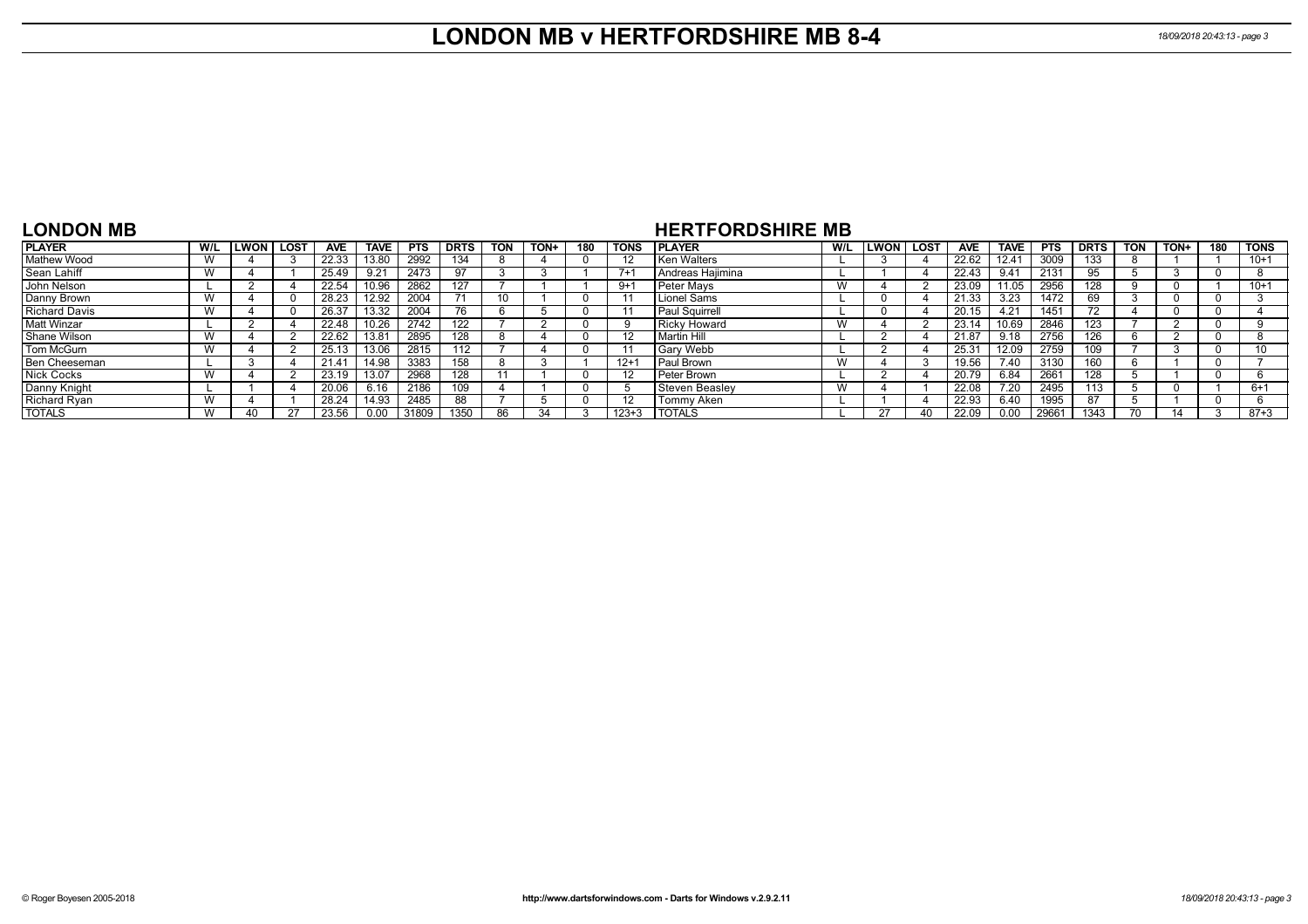### **LONDON MB v HERTFORDSHIRE MB 8-4** *18/09/2018 20:43:13 - page 3*

#### **LONDON MB**

### **HERTFORDSHIRE MB**

| <b>PLAYER</b> | W/L            | .WON | <b>LOST</b> | <b>AVE</b>     | <b>TAVE</b> | <b>PTS</b> | <b>DRTS</b> | <b>TON</b> | TON+ | 180 | <b>TONS</b> | <b>IPLAYER</b>        | W/L | <b>LWON</b> | <b>LOST</b> | <b>AVE</b> | <b>TAVE</b> | <b>PTS</b> | <b>DRTS</b> | <b>TON</b> | TON+ | 180 | <b>TONS</b> |
|---------------|----------------|------|-------------|----------------|-------------|------------|-------------|------------|------|-----|-------------|-----------------------|-----|-------------|-------------|------------|-------------|------------|-------------|------------|------|-----|-------------|
| Mathew Wood   | $\overline{M}$ |      |             | 22.33          | 13.80       | 2992       | 134         |            |      |     |             | Ken Walters           |     |             |             | 22.62      | 12.41       | 3009       | 133         |            |      |     | $10+1$      |
| Sean Lahiff   | $\lambda$      |      |             | 25.49          | 9.21        | 2473       | 97          |            |      |     | $7+$        | l Andreas Haiimina    |     |             |             | 22.43      | 9.41        | 2131       | 95          |            |      |     |             |
| John Nelson   |                |      |             | 22.54          | 10.96       | 2862       | 127         |            |      |     | $9+1$       | Peter Mays            |     |             |             | 23.09      | 11.05       | 2956       | 128         |            |      |     | $10+1$      |
| Danny Brown   | $\overline{M}$ |      |             | 28.23          | 12.92       | 2004       |             |            |      |     |             | Lionel Sams           |     |             |             | 21.33      | 3.23        | 1472       | 69          |            |      |     |             |
| Richard Davis | $\mathbf{M}$   |      |             | 26.37          | 13.32       | 2004       | 76          |            |      |     |             | <b>Paul Squirrell</b> |     |             |             | 20.15      | 4.21        | 1451       | 72          |            |      |     |             |
| Matt Winzar   |                |      |             | 22.48          | 10.26       | 2742       | 122         |            |      |     |             | <b>Ricky Howard</b>   |     |             |             | 23.14      | 10.69       | 2846       | 123         |            |      |     |             |
| Shane Wilson  | $\lambda$      |      |             | 22.62          | 13.81       | 2895       | 128         |            |      |     |             | Martin Hill           |     |             |             | 21.87      | 9.18        | 2756       | 126         |            |      |     |             |
| Tom McGurn    | $\overline{M}$ |      |             | 25.13          | 13.06       | 2815       | 112         |            |      |     |             | <b>Gary Webb</b>      |     |             |             | 25.31      | 12.09       | 2759       |             |            |      |     | 10          |
| Ben Cheeseman |                |      |             | $21.4^{\circ}$ | 14.98       | 3383       | 158         |            |      |     | $12 +$      | Paul Brown            |     |             |             | 19.56      | 7.40        | 3130       |             |            |      |     |             |
| Nick Cocks    | $\overline{M}$ |      |             | 23.19          | 13.07       | 2968       | 128         |            |      |     |             | Peter Brown           |     |             |             | 20.79      | 6.84        | 2661       | 128         |            |      |     |             |
| Danny Knight  |                |      |             | 20.06          | 6.16        | 2186       | 109         |            |      |     |             | <b>Steven Beasley</b> |     |             |             | 22.08      | 7.20        | 2495       | 113         |            |      |     | $6+1$       |
| Richard Ryan  | $\overline{M}$ |      |             | 28.24          | 14.93       | 2485       | 88          |            |      |     |             | Tommy Aken            |     |             |             | 22.93      | 6.40        | 1995       | 87          |            |      |     |             |
| <b>TOTALS</b> | $\overline{M}$ |      |             | 23.56          | 0.00        | 31809      | 1350        | 86         | 34   |     | $123 + 3$   | <b>TOTALS</b>         |     |             | 40          | 22.09      | 0.00        | 29661      | 1343        |            |      |     | $87 + 3$    |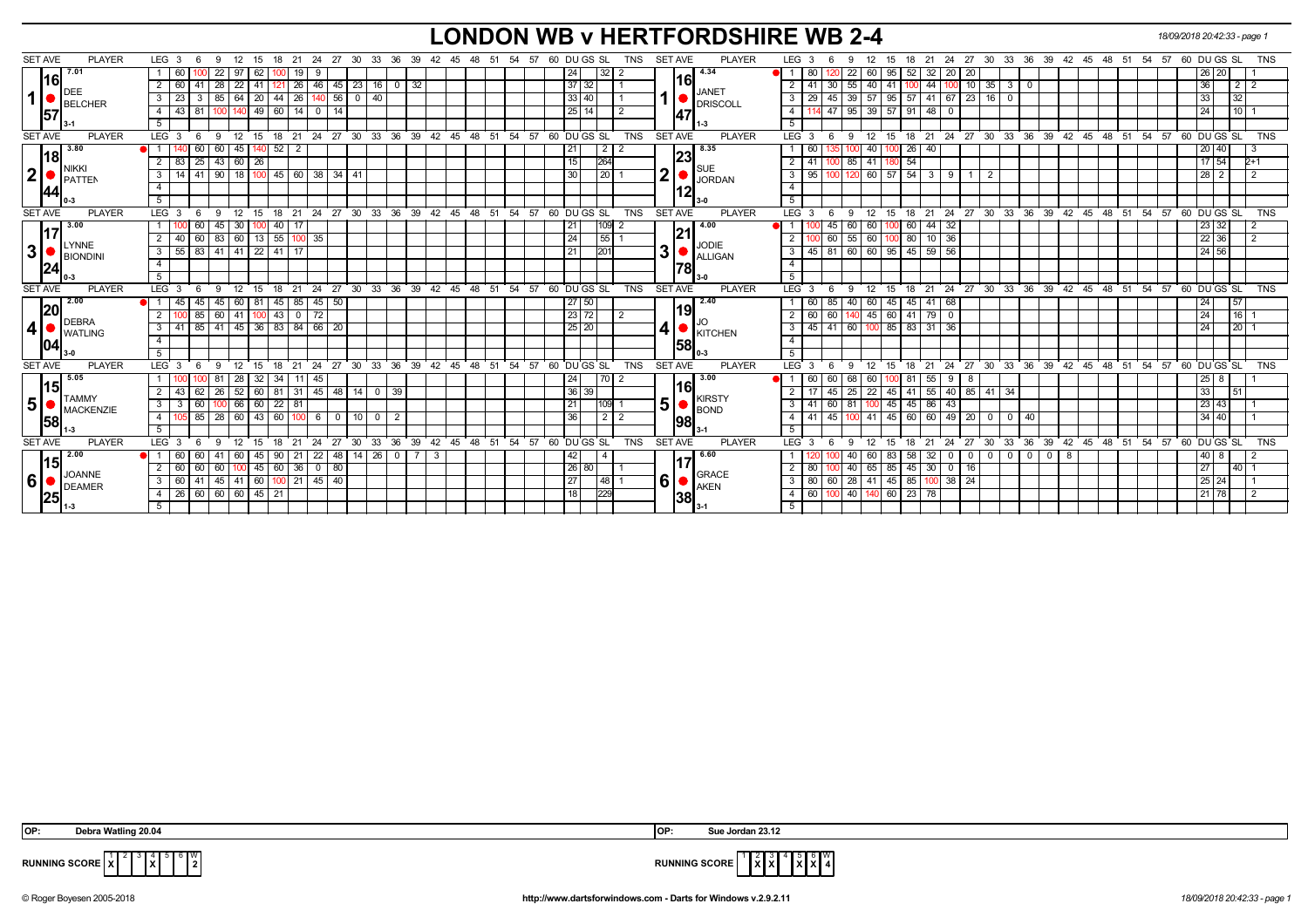## **LONDON WB v HERTFORDSHIRE WB 2-4** *18/09/2018 20:42:33 - page 1*

| <b>SET AVE</b> | <b>PLAYER</b>         | LEG 3            |              | - 6 | -9                 | 12<br>- 15                                  | 18       | 21                           | 24             |                          | 27 30       |    |              | 33 36 39 42 45 48 51 54 57                               |    |    |       |  |                 | 60 DU GS SL    | <b>TNS</b> | <b>SET AVE</b> |            | <b>PLAYER</b>                   | LEG <sub>3</sub> |          | 9<br>- 6                              | 12              | 15  | 18<br>21                     | 24 27          |       |                               |     |                 | 30 33 36 39 42 45 48 51 54 57 60 DU GS SL               |  |  |                 |                     |                | <b>TNS</b> |
|----------------|-----------------------|------------------|--------------|-----|--------------------|---------------------------------------------|----------|------------------------------|----------------|--------------------------|-------------|----|--------------|----------------------------------------------------------|----|----|-------|--|-----------------|----------------|------------|----------------|------------|---------------------------------|------------------|----------|---------------------------------------|-----------------|-----|------------------------------|----------------|-------|-------------------------------|-----|-----------------|---------------------------------------------------------|--|--|-----------------|---------------------|----------------|------------|
|                | 7.01                  |                  | 60           |     | 22<br>-97          | 62                                          |          | 19                           | 9              |                          |             |    |              |                                                          |    |    |       |  | 24              | 32             |            |                |            | 4.34                            |                  |          | 22 <sub>1</sub>                       | 60              | 95  | 32<br>52                     | 20             | 20    |                               |     |                 |                                                         |  |  |                 | 26 20               |                |            |
|                | 16                    |                  | 60           |     |                    | 22                                          |          | 26                           | 46             | 45                       | 23 16       |    | $0 \mid 32$  |                                                          |    |    |       |  | $37 \mid 32$    |                |            |                | 16         |                                 |                  |          | 30<br>55                              | 40              | 41  | 44                           |                |       | 35<br>3                       |     |                 |                                                         |  |  | 36              |                     | 2 <sub>1</sub> |            |
| 1              | DEE<br><b>BELCHER</b> | 3                | 23           |     | 85                 | 20<br>64                                    | 44       | 26                           |                | 56                       | $0 \mid 40$ |    |              |                                                          |    |    |       |  | 33 40           |                |            |                |            | <b>JANET</b><br><b>DRISCOLL</b> | 3                | 29       | 39<br>45                              | 57              | 95  | 57<br>41                     | 67             |       | 23 16 0                       |     |                 |                                                         |  |  | 33              |                     | 32             |            |
|                | 157                   | 4                | $43 \mid 81$ |     |                    |                                             | $49$ 60  | $\overline{14}$              | $\overline{0}$ | $\overline{14}$          |             |    |              |                                                          |    |    |       |  | 25114           |                |            |                | 147        |                                 | 4                |          | 47                                    | $95 \mid 39$    | 57  | $91 \ 48$                    | - 0            |       |                               |     |                 |                                                         |  |  | 24              |                     | 10             |            |
|                |                       |                  |              |     |                    |                                             |          |                              |                |                          |             |    |              |                                                          |    |    |       |  |                 |                |            |                |            |                                 | 5                |          |                                       |                 |     |                              |                |       |                               |     |                 |                                                         |  |  |                 |                     |                |            |
| <b>SET AVE</b> | <b>PLAYER</b>         | LEG <sup>3</sup> |              | - 6 | 12<br>-9           |                                             |          |                              |                |                          |             |    |              | 15 18 21 24 27 30 33 36 39 42 45 48 51 54 57 60 DU GS SL |    |    |       |  |                 |                | <b>TNS</b> | <b>SET AVE</b> |            | <b>PLAYER</b>                   | LEG <sup>3</sup> |          | 9                                     | $^{\circ}$ 12   |     |                              |                |       |                               |     |                 | 15 18 21 24 27 30 33 36 39 42 45 48 51 54 57 60 DUGS SL |  |  |                 |                     |                | <b>TNS</b> |
|                | 3.80                  |                  |              | 60  | 60                 | 45                                          | $140$ 52 | $\overline{2}$               |                |                          |             |    |              |                                                          |    |    |       |  | 211             |                |            |                | 23         | 8.35                            |                  | 60       |                                       | 40              |     | $\overline{26}$<br>40        |                |       |                               |     |                 |                                                         |  |  |                 | 20 40               |                |            |
|                | 18 <br>NIKKI          |                  |              |     |                    | 83 25 43 60 26                              |          |                              |                |                          |             |    |              |                                                          |    |    |       |  | 15              | 264            |            |                |            |                                 | 2 I              | 41       |                                       | 85 41           | 18C | $-54$                        |                |       |                               |     |                 |                                                         |  |  |                 | $17 \overline{)54}$ | $2+1$          |            |
| 2              | <b>PATTEN</b>         | 3                |              |     |                    | 14   41   90   18   100   45   60   38   34 |          |                              |                |                          | -41         |    |              |                                                          |    |    |       |  | 30              | 20             |            | ا2             |            | <b>SUE</b><br><b>JORDAN</b>     | $3 \mid 95$      |          | -100                                  |                 |     | $120 \ 60 \ 57 \ 54 \ 3 \ 9$ |                | - 1 I | 2                             |     |                 |                                                         |  |  |                 | $28$ 2              | $\overline{2}$ |            |
|                | 44                    |                  |              |     |                    |                                             |          |                              |                |                          |             |    |              |                                                          |    |    |       |  |                 |                |            |                | 12         |                                 | $\overline{4}$   |          |                                       |                 |     |                              |                |       |                               |     |                 |                                                         |  |  |                 |                     |                |            |
|                |                       |                  |              |     |                    |                                             |          |                              |                |                          |             |    |              |                                                          |    |    |       |  |                 |                |            |                |            |                                 | 5 <sup>5</sup>   |          |                                       |                 |     |                              |                |       |                               |     |                 |                                                         |  |  |                 |                     |                |            |
| <b>SET AVE</b> | <b>PLAYER</b>         | $LEG_36$         |              |     | $^{\circ}$ 12<br>9 | 15                                          |          |                              |                |                          |             |    |              | 18 21 24 27 30 33 36 39 42 45 48 51 54 57 60 DUGS SL     |    |    |       |  |                 |                | <b>TNS</b> | <b>SET AVE</b> |            | <b>PLAYER</b>                   | $LEG \ 3$        |          | - 6                                   | 9 12            |     |                              |                |       |                               |     |                 | 15 18 21 24 27 30 33 36 39 42 45 48 51 54 57 60 DUGS SL |  |  |                 |                     |                | <b>TNS</b> |
|                | 3.00                  |                  |              | 60  | 45                 | 30                                          | 40       | -17                          |                |                          |             |    |              |                                                          |    |    |       |  | 21              | 109            |            |                |            | 4.00                            |                  |          | 60 I<br>45                            | 60              |     | 60                           | $44 \mid 32$   |       |                               |     |                 |                                                         |  |  |                 | 23 32               |                |            |
|                |                       |                  | 40 60        |     |                    | 83 60 13 55 100 35                          |          |                              |                |                          |             |    |              |                                                          |    |    |       |  | 24              | 55             |            |                | 21         |                                 | 2 <sup>1</sup>   | $100$ 60 |                                       | 55 60           | 100 | $80$ 10 36                   |                |       |                               |     |                 |                                                         |  |  |                 | 22 36               | 2              |            |
| 3              | LYNNE<br>BIONDINI     | 3                |              |     |                    | 55   83   41   41   22   41   17            |          |                              |                |                          |             |    |              |                                                          |    |    |       |  | 211             | 201            |            | 3              | ,          | <b>JODIE</b><br><b>ALLIGAN</b>  | 3 <sup>1</sup>   |          | 45   81   60   60   95   45   59   56 |                 |     |                              |                |       |                               |     |                 |                                                         |  |  |                 | 24 56               |                |            |
|                | 24                    |                  |              |     |                    |                                             |          |                              |                |                          |             |    |              |                                                          |    |    |       |  |                 |                |            |                | 178        |                                 | $\overline{4}$   |          |                                       |                 |     |                              |                |       |                               |     |                 |                                                         |  |  |                 |                     |                |            |
|                |                       | $\overline{5}$   |              |     |                    |                                             |          |                              |                |                          |             |    |              |                                                          |    |    |       |  |                 |                |            |                |            |                                 | 5                |          |                                       |                 |     |                              |                |       |                               |     |                 |                                                         |  |  |                 |                     |                |            |
| <b>SET AVE</b> | <b>PLAYER</b>         | LEG 3            |              | 6   | 12<br>9            |                                             |          |                              |                |                          |             |    |              | 15 18 21 24 27 30 33 36 39 42 45 48 51 54 57 60 DUGS SL  |    |    |       |  |                 |                | <b>TNS</b> | <b>SET AVE</b> |            | <b>PLAYER</b>                   | $LEG^3$ 3        |          | 6                                     | $9 \t12$        |     |                              |                |       |                               |     |                 | 15 18 21 24 27 30 33 36 39 42 45 48 51 54 57 60 DUGS SL |  |  |                 |                     |                | <b>TNS</b> |
|                | 2.00                  |                  | 45 I         | 45  |                    | 45 60 81 45 85 45                           |          |                              |                | 50                       |             |    |              |                                                          |    |    |       |  | 27 50           |                |            |                |            | 2.40                            |                  | 60       | 85                                    | 40 60           |     | 45 45 41 68                  |                |       |                               |     |                 |                                                         |  |  | 24              |                     | 57             |            |
|                | 20 <br>DEBRA          |                  | 100 85       |     |                    | $60$ 41 100 43 0 72                         |          |                              |                |                          |             |    |              |                                                          |    |    |       |  | 23 72           |                |            |                | 19         |                                 | $2 \mid 60$      |          | 60                                    |                 |     | 140 45 60 41 79 0            |                |       |                               |     |                 |                                                         |  |  | 24              |                     | 16             |            |
| 4 •            | <b>I</b> WATLING      | 3                |              |     |                    | 41 85 41 45 36 83 84 66                     |          |                              |                | 20                       |             |    |              |                                                          |    |    |       |  | 25 20           |                |            | 4              |            | <b>KITCHEN</b>                  | 3 <sup>1</sup>   |          | 45 41 60 100 85 83 31 36              |                 |     |                              |                |       |                               |     |                 |                                                         |  |  | 24              |                     | 20             |            |
|                | 04                    |                  |              |     |                    |                                             |          |                              |                |                          |             |    |              |                                                          |    |    |       |  |                 |                |            |                | 58         |                                 | $\overline{4}$   |          |                                       |                 |     |                              |                |       |                               |     |                 |                                                         |  |  |                 |                     |                |            |
|                |                       |                  |              |     |                    |                                             |          |                              |                |                          |             |    |              |                                                          |    |    |       |  |                 |                |            |                |            |                                 | 5                |          |                                       |                 |     |                              |                |       |                               |     |                 |                                                         |  |  |                 |                     |                |            |
| <b>SET AVE</b> | <b>PLAYER</b>         | LEG <sub>3</sub> |              | - 6 | 12<br>9            | $^{\circ}$ 15                               | 18       | $^{\circ}$ 21                |                |                          |             |    |              | 24 27 30 33 36 39 42 45 48 51 54 57 60 DUGS SL           |    |    |       |  |                 |                | <b>TNS</b> | <b>SET AVE</b> |            | <b>PLAYER</b>                   | LEG 3            |          | 9<br>- 6                              | 12              | 15  | 18 21                        |                |       |                               |     |                 | 24 27 30 33 36 39 42 45 48 51 54 57 60 DUGS SL          |  |  |                 |                     |                | <b>TNS</b> |
|                | 5.05                  |                  |              |     | 81                 | 32 <sub>1</sub><br>-28                      | 34       | - 11 I                       | 45             |                          |             |    |              |                                                          |    |    |       |  | 24 <sub>1</sub> |                |            |                |            | 3.00                            |                  | 60       | -60<br>68 I                           | 60              |     | 55<br>-81                    | 9              | - 8   |                               |     |                 |                                                         |  |  | 25 <sub>1</sub> | 8                   |                |            |
|                | 15 <br><b>ITAMMY</b>  |                  | 43           | 62  | 26                 | 52                                          | $60$ 81  |                              | $31 \mid 45$   | $-48$                    | $14$ 0      |    | 39           |                                                          |    |    |       |  | 36 39           |                |            |                | <b>116</b> | <b>KIRSTY</b>                   |                  |          | 45<br>25 <sub>1</sub>                 | $\overline{22}$ | 45  | $141$ 55                     |                |       | 40   85   41   34             |     |                 |                                                         |  |  | 33              |                     | 51             |            |
| 5 <sup>1</sup> | MACKENZIE             | 3                | 3            | 60  |                    | 66                                          |          | $\boxed{60}$ 22 $\boxed{81}$ |                |                          |             |    |              |                                                          |    |    |       |  | 21              | $109$ 1        |            | 5 <sup>1</sup> |            | <b>BOND</b>                     | 3                | 41       | 60<br>81                              |                 | 45  | $-45$<br>86                  | 43             |       |                               |     |                 |                                                         |  |  |                 | 23 43               |                |            |
|                | <b>158</b>            | 4                |              | 85  | 28                 | $\overline{60}$                             | 43   60  | 100 <sup>1</sup>             | - 6 I          | $\overline{\phantom{0}}$ | 100         |    | 2            |                                                          |    |    |       |  | 36 <sup>1</sup> | $\overline{2}$ |            |                | 198        |                                 | 4 I              | 41       | 45                                    | 41              | 45  | 60                           | 60 49 20       |       | $0$ 0                         | 40  |                 |                                                         |  |  |                 | 34 40               |                |            |
|                |                       | 5                |              |     |                    |                                             |          |                              |                |                          |             |    |              |                                                          |    |    |       |  |                 |                |            |                |            |                                 | 5                |          |                                       |                 |     |                              |                |       |                               |     |                 |                                                         |  |  |                 |                     |                |            |
| <b>SET AVE</b> | <b>PLAYER</b>         | LEG <sub>3</sub> |              |     | 12<br>9            | 15                                          | 18       | 21                           | 24             | 27                       | 30          | 33 | 36<br>39     | 42                                                       | 45 | 48 | 51 54 |  |                 | 57 60 DU GS SL | <b>TNS</b> | <b>SET AVE</b> |            | <b>PLAYER</b>                   | LEG <sup>3</sup> |          |                                       | 12              | 15  | 18<br>21                     | 24             | 27    | $30^{\circ}$<br>33            | 36  | 39 <sup>°</sup> | 42 45 48 51 54                                          |  |  | 57 60 DU GS SL  |                     |                | <b>TNS</b> |
|                | $\sqrt{2.00}$         |                  | 60           | 60  |                    | 60<br>45                                    | 90       | -21                          | 22             | 48                       | $14$   26   |    | $\mathbf{0}$ |                                                          |    |    |       |  | 42 I            |                |            |                |            | 6.60                            |                  |          |                                       | 60              | 83  | 32<br>58                     | $\mathbf{0}$   | 0     | 0 <sub>1</sub><br>$\mathbf 0$ | - 0 |                 | 8                                                       |  |  |                 | 8                   |                |            |
|                | 15 <br>JOANNE         |                  | 60           | 60  | 60                 |                                             | 45 60    | 36                           | $\circ$ 1      | 80                       |             |    |              |                                                          |    |    |       |  | 26 80           |                |            |                |            | <b>GRACE</b>                    | 2 I              | 80       |                                       | 40 65           |     | 85 45 30                     | $\overline{0}$ | 16    |                               |     |                 |                                                         |  |  | 27              |                     | 40             |            |
| 6 <sup>1</sup> | DEAMER                |                  | 60 41        |     |                    | 45 41 60 100 21 45 40                       |          |                              |                |                          |             |    |              |                                                          |    |    |       |  | 27              | 48             |            | 6'             |            | AKEN                            | $3 \mid 80$      |          | $\sqrt{60}$                           | 28 41 45 85     |     |                              | $100$ 38 $24$  |       |                               |     |                 |                                                         |  |  |                 | $25 \mid 24$        |                |            |
|                | 25                    |                  |              |     |                    | 26 60 60 60 45 21                           |          |                              |                |                          |             |    |              |                                                          |    |    |       |  | 18              | 229            |            |                | 38         |                                 | 4 I              | 60 100   |                                       |                 |     | $140$ 140 60 23 78           |                |       |                               |     |                 |                                                         |  |  |                 | 21 78               | $\overline{2}$ |            |
|                |                       |                  |              |     |                    |                                             |          |                              |                |                          |             |    |              |                                                          |    |    |       |  |                 |                |            |                |            |                                 | -5               |          |                                       |                 |     |                              |                |       |                               |     |                 |                                                         |  |  |                 |                     |                |            |

 3 4 **X**  $\frac{1}{2}$ 



**RUNNING SCORE**  $\overline{X}$